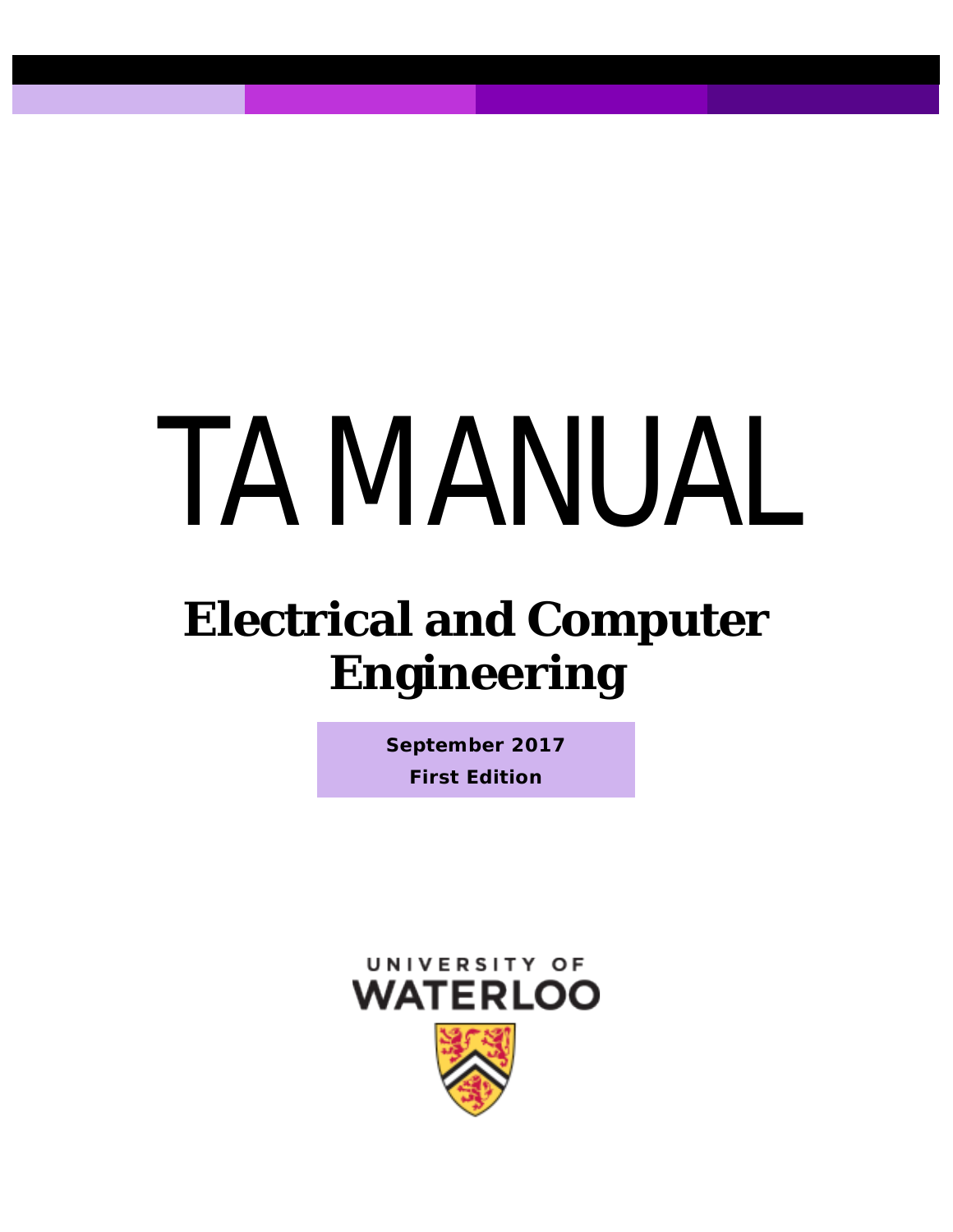# TA MANUAL

# **Electrical and Computer Engineering**

**September 2017 First Edition**

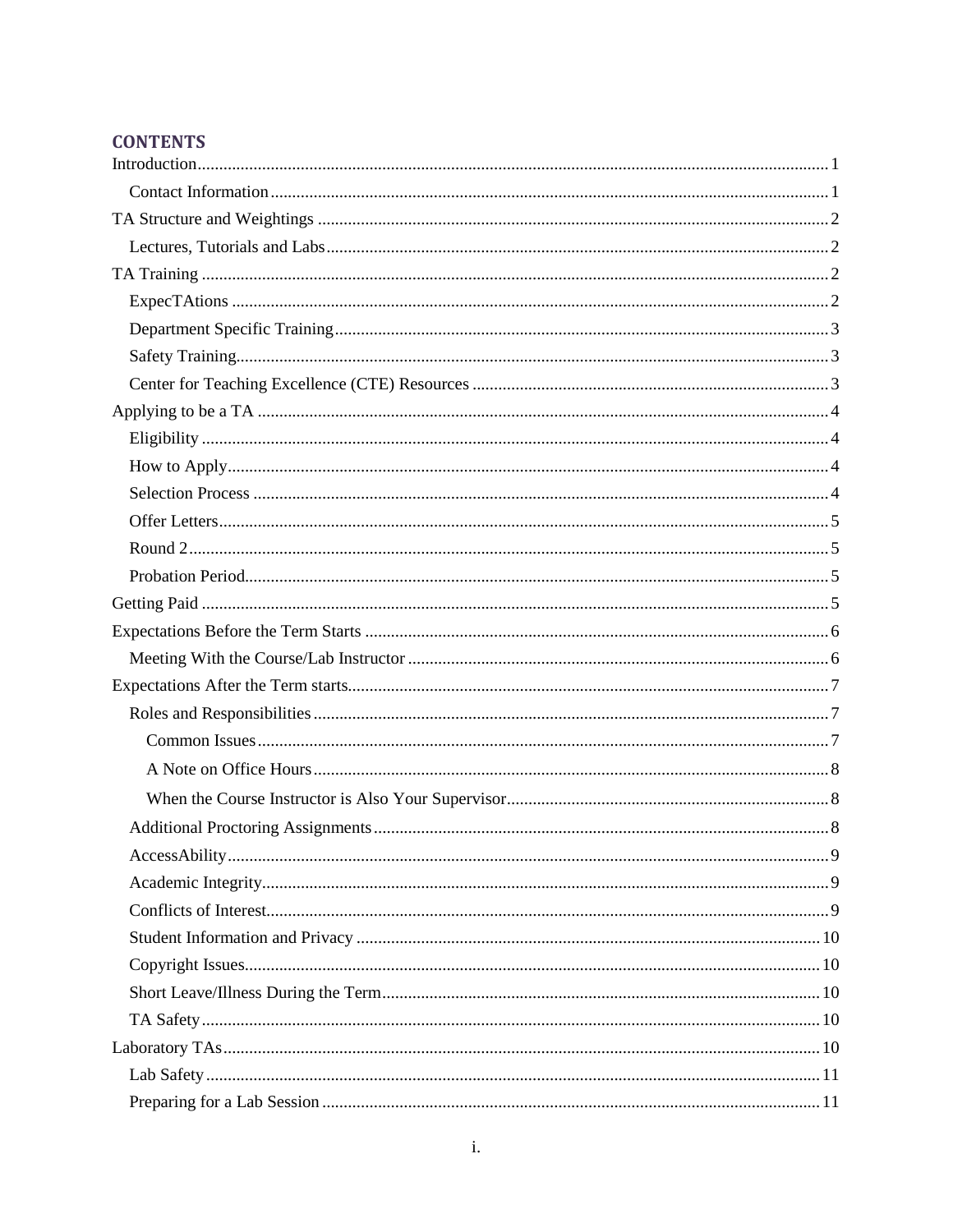# **CONTENTS**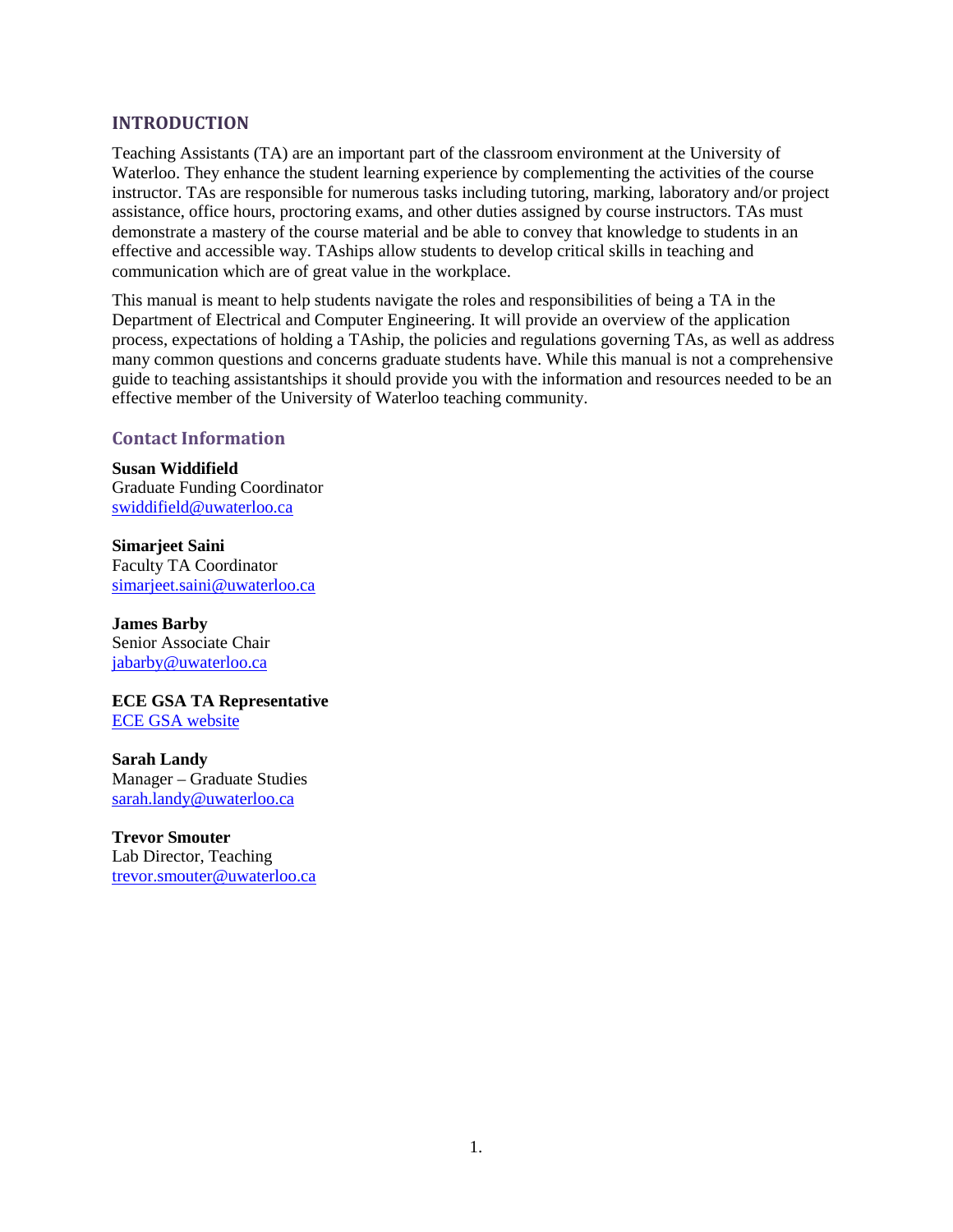#### <span id="page-3-0"></span>**INTRODUCTION**

Teaching Assistants (TA) are an important part of the classroom environment at the University of Waterloo. They enhance the student learning experience by complementing the activities of the course instructor. TAs are responsible for numerous tasks including tutoring, marking, laboratory and/or project assistance, office hours, proctoring exams, and other duties assigned by course instructors. TAs must demonstrate a mastery of the course material and be able to convey that knowledge to students in an effective and accessible way. TAships allow students to develop critical skills in teaching and communication which are of great value in the workplace.

This manual is meant to help students navigate the roles and responsibilities of being a TA in the Department of Electrical and Computer Engineering. It will provide an overview of the application process, expectations of holding a TAship, the policies and regulations governing TAs, as well as address many common questions and concerns graduate students have. While this manual is not a comprehensive guide to teaching assistantships it should provide you with the information and resources needed to be an effective member of the University of Waterloo teaching community.

#### <span id="page-3-1"></span>**Contact Information**

**Susan Widdifield** Graduate Funding Coordinator [swiddifield@uwaterloo.ca](mailto:swiddifield@uwaterloo.ca)

**Simarjeet Saini** Faculty TA Coordinator [simarjeet.saini@uwaterloo.ca](mailto:simarjeet.saini@uwaterloo.ca)

**James Barby** Senior Associate Chair [jabarby@uwaterloo.ca](mailto:jabarby@uwaterloo.ca)

**ECE GSA TA Representative** [ECE GSA website](https://uwaterloo.ca/electrical-computer-engineering-graduate-student-association/about/people)

**Sarah Landy** Manager – Graduate Studies [sarah.landy@uwaterloo.ca](mailto:sarah.landy@uwaterloo.ca)

**Trevor Smouter** Lab Director, Teaching [trevor.smouter@uwaterloo.ca](mailto:trevor.smouter@uwaterloo.ca)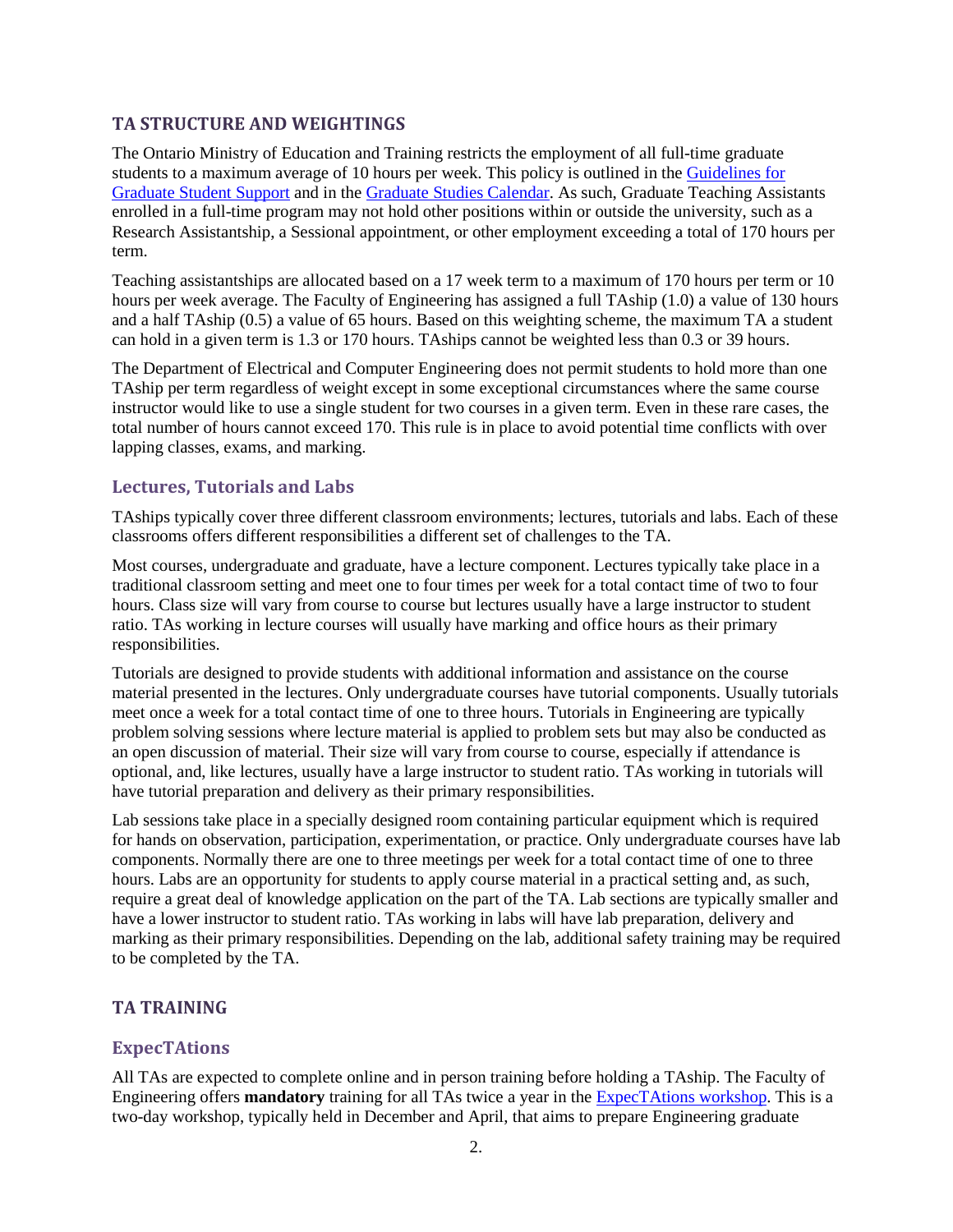#### <span id="page-4-0"></span>**TA STRUCTURE AND WEIGHTINGS**

The Ontario Ministry of Education and Training restricts the employment of all full-time graduate students to a maximum average of 10 hours per week. This policy is outlined in the [Guidelines for](https://uwaterloo.ca/graduate-studies/current-students/policies-guidelines-and-student-responsibilites/guidelines-graduate-student-support)  [Graduate Student Support](https://uwaterloo.ca/graduate-studies/current-students/policies-guidelines-and-student-responsibilites/guidelines-graduate-student-support) and in the [Graduate Studies Calendar.](https://uwaterloo.ca/graduate-studies-academic-calendar/general-information-and-regulations/full-time-students) As such, Graduate Teaching Assistants enrolled in a full-time program may not hold other positions within or outside the university, such as a Research Assistantship, a Sessional appointment, or other employment exceeding a total of 170 hours per term.

Teaching assistantships are allocated based on a 17 week term to a maximum of 170 hours per term or 10 hours per week average. The Faculty of Engineering has assigned a full TAship (1.0) a value of 130 hours and a half TAship (0.5) a value of 65 hours. Based on this weighting scheme, the maximum TA a student can hold in a given term is 1.3 or 170 hours. TAships cannot be weighted less than 0.3 or 39 hours.

The Department of Electrical and Computer Engineering does not permit students to hold more than one TAship per term regardless of weight except in some exceptional circumstances where the same course instructor would like to use a single student for two courses in a given term. Even in these rare cases, the total number of hours cannot exceed 170. This rule is in place to avoid potential time conflicts with over lapping classes, exams, and marking.

#### <span id="page-4-1"></span>**Lectures, Tutorials and Labs**

TAships typically cover three different classroom environments; lectures, tutorials and labs. Each of these classrooms offers different responsibilities a different set of challenges to the TA.

Most courses, undergraduate and graduate, have a lecture component. Lectures typically take place in a traditional classroom setting and meet one to four times per week for a total contact time of two to four hours. Class size will vary from course to course but lectures usually have a large instructor to student ratio. TAs working in lecture courses will usually have marking and office hours as their primary responsibilities.

Tutorials are designed to provide students with additional information and assistance on the course material presented in the lectures. Only undergraduate courses have tutorial components. Usually tutorials meet once a week for a total contact time of one to three hours. Tutorials in Engineering are typically problem solving sessions where lecture material is applied to problem sets but may also be conducted as an open discussion of material. Their size will vary from course to course, especially if attendance is optional, and, like lectures, usually have a large instructor to student ratio. TAs working in tutorials will have tutorial preparation and delivery as their primary responsibilities.

Lab sessions take place in a specially designed room containing particular equipment which is required for hands on observation, participation, experimentation, or practice. Only undergraduate courses have lab components. Normally there are one to three meetings per week for a total contact time of one to three hours. Labs are an opportunity for students to apply course material in a practical setting and, as such, require a great deal of knowledge application on the part of the TA. Lab sections are typically smaller and have a lower instructor to student ratio. TAs working in labs will have lab preparation, delivery and marking as their primary responsibilities. Depending on the lab, additional safety training may be required to be completed by the TA.

#### <span id="page-4-2"></span>**TA TRAINING**

#### <span id="page-4-3"></span>**ExpecTAtions**

All TAs are expected to complete online and in person training before holding a TAship. The Faculty of Engineering offers **mandatory** training for all TAs twice a year in the [ExpecTAtions workshop.](https://uwaterloo.ca/engineering/events/expectations-teaching-assistant-workshop) This is a two-day workshop, typically held in December and April, that aims to prepare Engineering graduate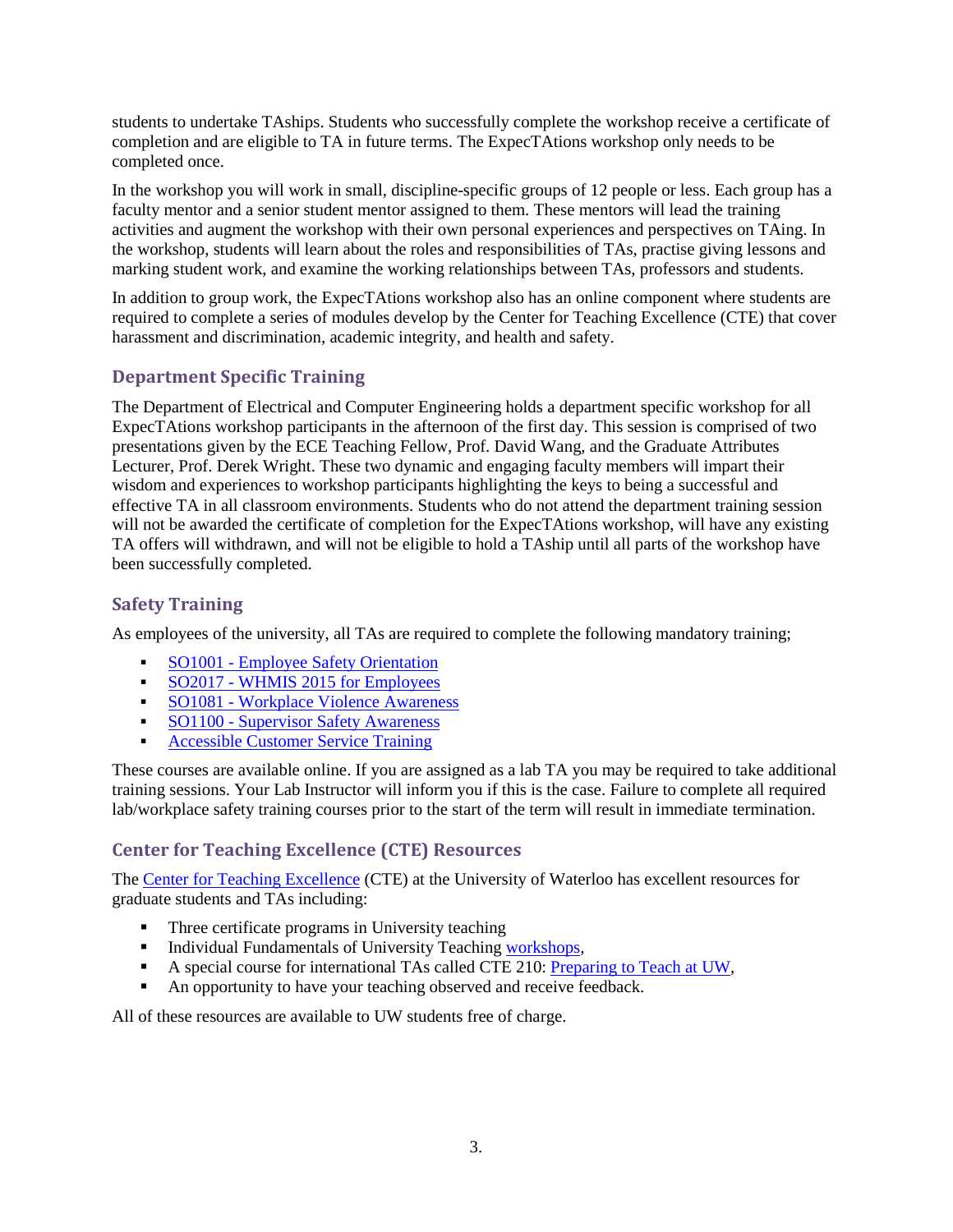students to undertake TAships. Students who successfully complete the workshop receive a certificate of completion and are eligible to TA in future terms. The ExpecTAtions workshop only needs to be completed once.

In the workshop you will work in small, discipline-specific groups of 12 people or less. Each group has a faculty mentor and a senior student mentor assigned to them. These mentors will lead the training activities and augment the workshop with their own personal experiences and perspectives on TAing. In the workshop, students will learn about the roles and responsibilities of TAs, practise giving lessons and marking student work, and examine the working relationships between TAs, professors and students.

In addition to group work, the ExpecTAtions workshop also has an online component where students are required to complete a series of modules develop by the Center for Teaching Excellence (CTE) that cover harassment and discrimination, academic integrity, and health and safety.

# <span id="page-5-0"></span>**Department Specific Training**

The Department of Electrical and Computer Engineering holds a department specific workshop for all ExpecTAtions workshop participants in the afternoon of the first day. This session is comprised of two presentations given by the ECE Teaching Fellow, Prof. David Wang, and the Graduate Attributes Lecturer, Prof. Derek Wright. These two dynamic and engaging faculty members will impart their wisdom and experiences to workshop participants highlighting the keys to being a successful and effective TA in all classroom environments. Students who do not attend the department training session will not be awarded the certificate of completion for the ExpecTAtions workshop, will have any existing TA offers will withdrawn, and will not be eligible to hold a TAship until all parts of the workshop have been successfully completed.

# <span id="page-5-1"></span>**Safety Training**

As employees of the university, all TAs are required to complete the following mandatory training;

- **SO1001** [Employee Safety Orientation](https://uwaterloo.ca/safety-office/training/training-programs)
- SO2017 [WHMIS 2015 for Employees](https://uwaterloo.ca/safety-office/news/new-whmis-2015-training-course)
- **SO1081 [Workplace Violence Awareness](https://uwaterloo.ca/safety-office/training/training-programs)**
- **SO1100 [Supervisor Safety Awareness](https://uwaterloo.ca/safety-office/training/training-programs)**
- [Accessible Customer Service Training](https://uwaterloo.ca/disability-services/customer-service-standard-and-training)

These courses are available online. If you are assigned as a lab TA you may be required to take additional training sessions. Your Lab Instructor will inform you if this is the case. Failure to complete all required lab/workplace safety training courses prior to the start of the term will result in immediate termination.

# <span id="page-5-2"></span>**Center for Teaching Excellence (CTE) Resources**

The [Center for Teaching Excellence](https://uwaterloo.ca/centre-for-teaching-excellence/support-graduate-students) (CTE) at the University of Waterloo has excellent resources for graduate students and TAs including:

- Three certificate programs in University teaching
- Individual Fundamentals of University Teaching [workshops,](https://uwaterloo.ca/centre-for-teaching-excellence/events/audience/73)
- A special course for international TAs called CTE 210: [Preparing to Teach](https://uwaterloo.ca/centre-for-teaching-excellence/events/audience/73) at UW,
- An opportunity to have your teaching observed and receive feedback.

All of these resources are available to UW students free of charge.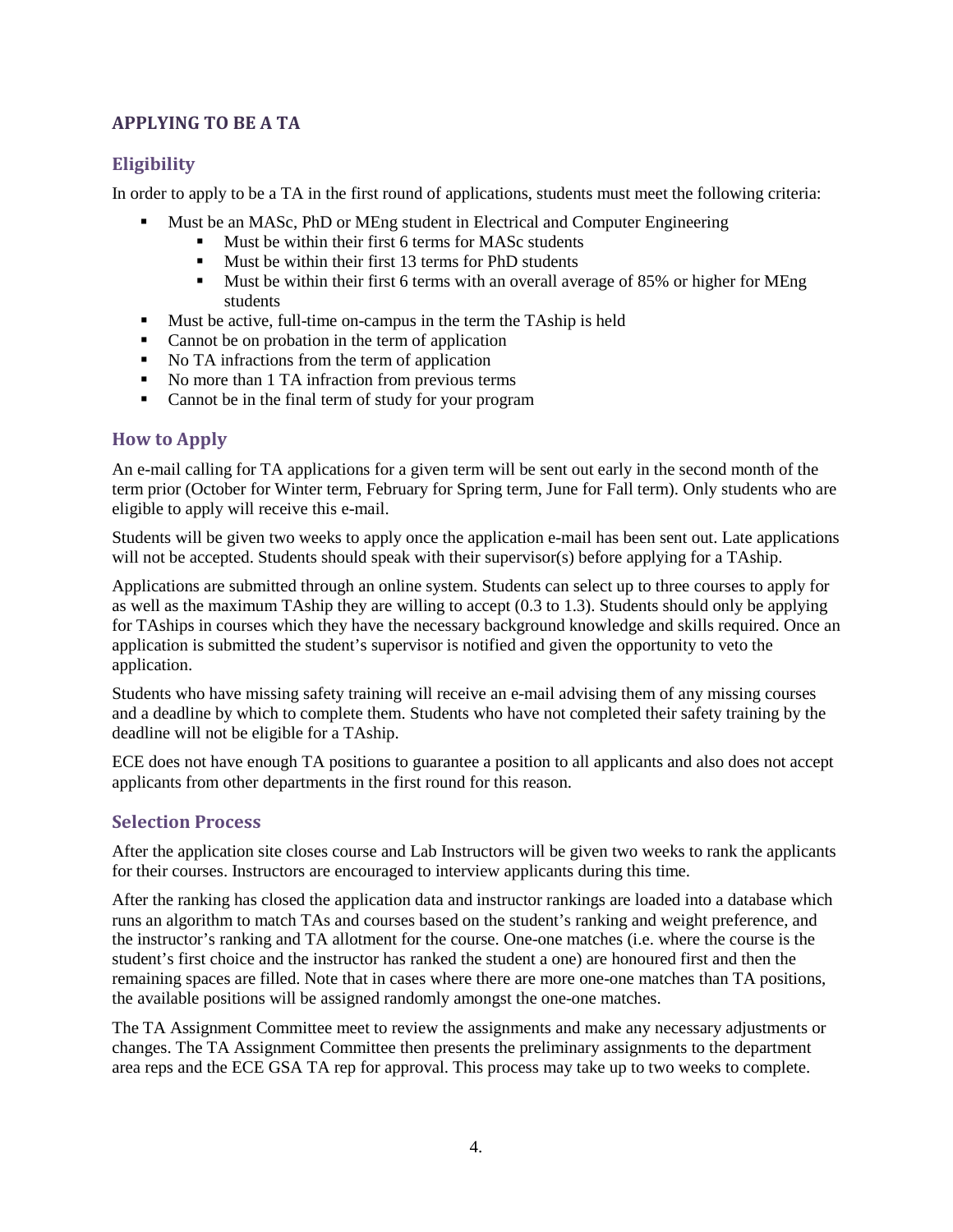### <span id="page-6-0"></span>**APPLYING TO BE A TA**

# <span id="page-6-1"></span>**Eligibility**

In order to apply to be a TA in the first round of applications, students must meet the following criteria:

- Must be an MASc, PhD or MEng student in Electrical and Computer Engineering
	- Must be within their first 6 terms for MASc students
	- **Must be within their first 13 terms for PhD students**
	- Must be within their first 6 terms with an overall average of 85% or higher for MEng students
- **Must be active, full-time on-campus in the term the TAship is held**
- Cannot be on probation in the term of application
- No TA infractions from the term of application
- No more than 1 TA infraction from previous terms
- Cannot be in the final term of study for your program

# <span id="page-6-2"></span>**How to Apply**

An e-mail calling for TA applications for a given term will be sent out early in the second month of the term prior (October for Winter term, February for Spring term, June for Fall term). Only students who are eligible to apply will receive this e-mail.

Students will be given two weeks to apply once the application e-mail has been sent out. Late applications will not be accepted. Students should speak with their supervisor(s) before applying for a TAship.

Applications are submitted through an online system. Students can select up to three courses to apply for as well as the maximum TAship they are willing to accept (0.3 to 1.3). Students should only be applying for TAships in courses which they have the necessary background knowledge and skills required. Once an application is submitted the student's supervisor is notified and given the opportunity to veto the application.

Students who have missing safety training will receive an e-mail advising them of any missing courses and a deadline by which to complete them. Students who have not completed their safety training by the deadline will not be eligible for a TAship.

ECE does not have enough TA positions to guarantee a position to all applicants and also does not accept applicants from other departments in the first round for this reason.

# <span id="page-6-3"></span>**Selection Process**

After the application site closes course and Lab Instructors will be given two weeks to rank the applicants for their courses. Instructors are encouraged to interview applicants during this time.

After the ranking has closed the application data and instructor rankings are loaded into a database which runs an algorithm to match TAs and courses based on the student's ranking and weight preference, and the instructor's ranking and TA allotment for the course. One-one matches (i.e. where the course is the student's first choice and the instructor has ranked the student a one) are honoured first and then the remaining spaces are filled. Note that in cases where there are more one-one matches than TA positions, the available positions will be assigned randomly amongst the one-one matches.

The TA Assignment Committee meet to review the assignments and make any necessary adjustments or changes. The TA Assignment Committee then presents the preliminary assignments to the department area reps and the ECE GSA TA rep for approval. This process may take up to two weeks to complete.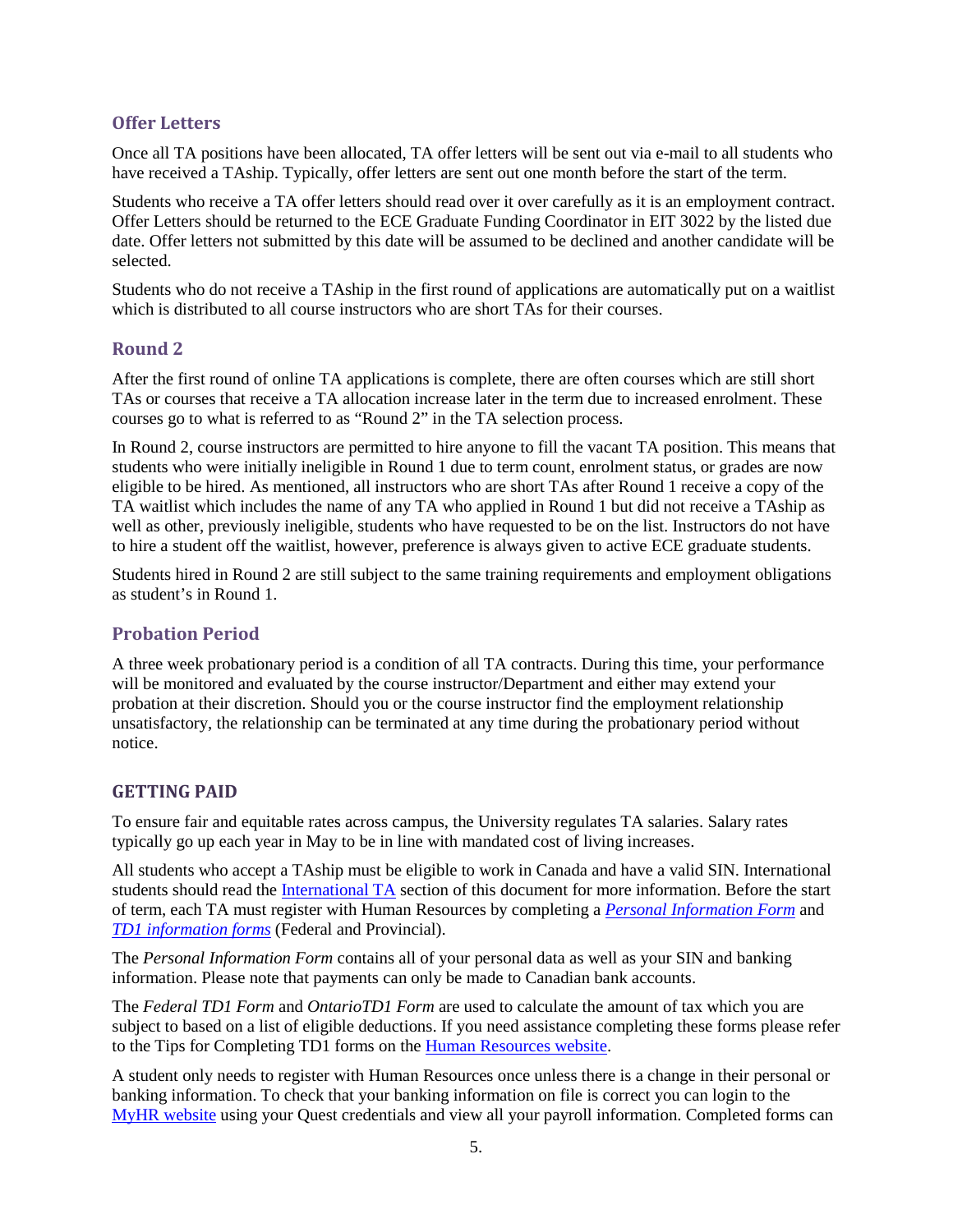#### <span id="page-7-0"></span>**Offer Letters**

Once all TA positions have been allocated, TA offer letters will be sent out via e-mail to all students who have received a TAship. Typically, offer letters are sent out one month before the start of the term.

Students who receive a TA offer letters should read over it over carefully as it is an employment contract. Offer Letters should be returned to the ECE Graduate Funding Coordinator in EIT 3022 by the listed due date. Offer letters not submitted by this date will be assumed to be declined and another candidate will be selected.

Students who do not receive a TAship in the first round of applications are automatically put on a waitlist which is distributed to all course instructors who are short TAs for their courses.

#### <span id="page-7-1"></span>**Round 2**

After the first round of online TA applications is complete, there are often courses which are still short TAs or courses that receive a TA allocation increase later in the term due to increased enrolment. These courses go to what is referred to as "Round 2" in the TA selection process.

In Round 2, course instructors are permitted to hire anyone to fill the vacant TA position. This means that students who were initially ineligible in Round 1 due to term count, enrolment status, or grades are now eligible to be hired. As mentioned, all instructors who are short TAs after Round 1 receive a copy of the TA waitlist which includes the name of any TA who applied in Round 1 but did not receive a TAship as well as other, previously ineligible, students who have requested to be on the list. Instructors do not have to hire a student off the waitlist, however, preference is always given to active ECE graduate students.

Students hired in Round 2 are still subject to the same training requirements and employment obligations as student's in Round 1.

#### <span id="page-7-2"></span>**Probation Period**

A three week probationary period is a condition of all TA contracts. During this time, your performance will be monitored and evaluated by the course instructor/Department and either may extend your probation at their discretion. Should you or the course instructor find the employment relationship unsatisfactory, the relationship can be terminated at any time during the probationary period without notice.

#### <span id="page-7-3"></span>**GETTING PAID**

To ensure fair and equitable rates across campus, the University regulates TA salaries. Salary rates typically go up each year in May to be in line with mandated cost of living increases.

All students who accept a TAship must be eligible to work in Canada and have a valid SIN. International students should read the [International TA](#page-17-3) section of this document for more information. Before the start of term, each TA must register with Human Resources by completing a *[Personal Information Form](https://uwaterloo.ca/human-resources/forms)* and *[TD1 information forms](https://uwaterloo.ca/human-resources/forms)* (Federal and Provincial).

The *Personal Information Form* contains all of your personal data as well as your SIN and banking information. Please note that payments can only be made to Canadian bank accounts.

The *Federal TD1 Form* and *OntarioTD1 Form* are used to calculate the amount of tax which you are subject to based on a list of eligible deductions. If you need assistance completing these forms please refer to the Tips for Completing TD1 forms on the [Human Resources website.](https://uwaterloo.ca/human-resources/forms)

A student only needs to register with Human Resources once unless there is a change in their personal or banking information. To check that your banking information on file is correct you can login to the [MyHR website](https://myhrinfo.hrms.uwaterloo.ca/psp/SS/) using your Quest credentials and view all your payroll information. Completed forms can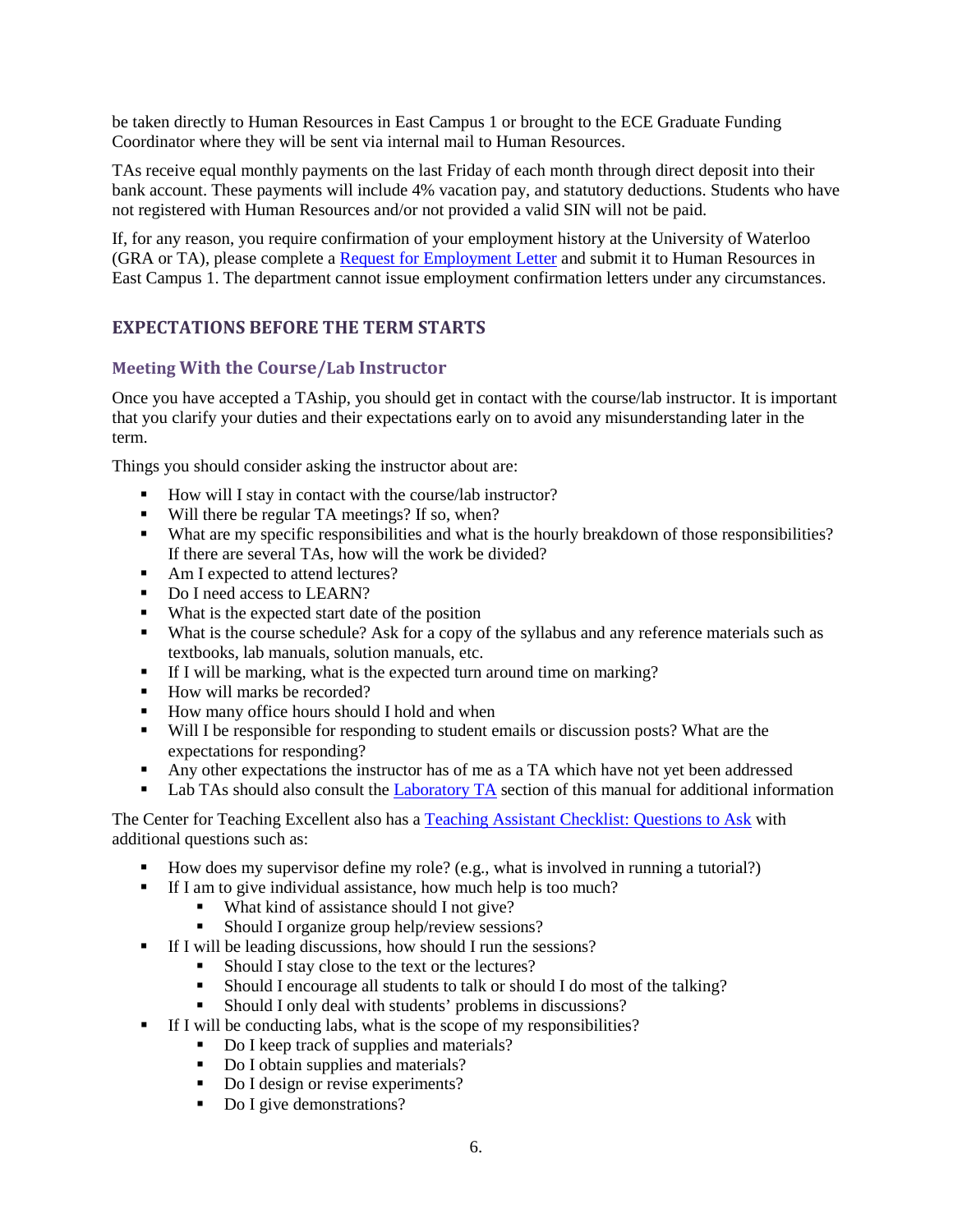be taken directly to Human Resources in East Campus 1 or brought to the ECE Graduate Funding Coordinator where they will be sent via internal mail to Human Resources.

TAs receive equal monthly payments on the last Friday of each month through direct deposit into their bank account. These payments will include 4% vacation pay, and statutory deductions. Students who have not registered with Human Resources and/or not provided a valid SIN will not be paid.

If, for any reason, you require confirmation of your employment history at the University of Waterloo (GRA or TA), please complete a [Request for Employment Letter](https://uwaterloo.ca/human-resources/forms) and submit it to Human Resources in East Campus 1. The department cannot issue employment confirmation letters under any circumstances.

# <span id="page-8-0"></span>**EXPECTATIONS BEFORE THE TERM STARTS**

# <span id="page-8-1"></span>**Meeting With the Course/Lab Instructor**

Once you have accepted a TAship, you should get in contact with the course/lab instructor. It is important that you clarify your duties and their expectations early on to avoid any misunderstanding later in the term.

Things you should consider asking the instructor about are:

- How will I stay in contact with the course/lab instructor?
- Will there be regular TA meetings? If so, when?
- What are my specific responsibilities and what is the hourly breakdown of those responsibilities? If there are several TAs, how will the work be divided?
- Am I expected to attend lectures?
- Do I need access to LEARN?
- What is the expected start date of the position
- What is the course schedule? Ask for a copy of the syllabus and any reference materials such as textbooks, lab manuals, solution manuals, etc.
- If I will be marking, what is the expected turn around time on marking?
- How will marks be recorded?
- How many office hours should I hold and when
- Will I be responsible for responding to student emails or discussion posts? What are the expectations for responding?
- Any other expectations the instructor has of me as a TA which have not yet been addressed
- Lab TAs should also consult the [Laboratory TA](#page-12-4) section of this manual for additional information

The Center for Teaching Excellent also has a [Teaching Assistant Checklist: Questions to Ask](https://uwaterloo.ca/centre-for-teaching-excellence/teaching-resources/teaching-tips/planning-courses/tips-teaching-assistants/teaching-assistant) with additional questions such as:

- How does my supervisor define my role? (e.g., what is involved in running a tutorial?)
- If I am to give individual assistance, how much help is too much?
	- What kind of assistance should I not give?
	- Should I organize group help/review sessions?
- If I will be leading discussions, how should I run the sessions?
	- Should I stay close to the text or the lectures?
	- Should I encourage all students to talk or should I do most of the talking?
	- Should I only deal with students' problems in discussions?
- If I will be conducting labs, what is the scope of my responsibilities?
	- Do I keep track of supplies and materials?
	- Do I obtain supplies and materials?
	- Do I design or revise experiments?
	- Do I give demonstrations?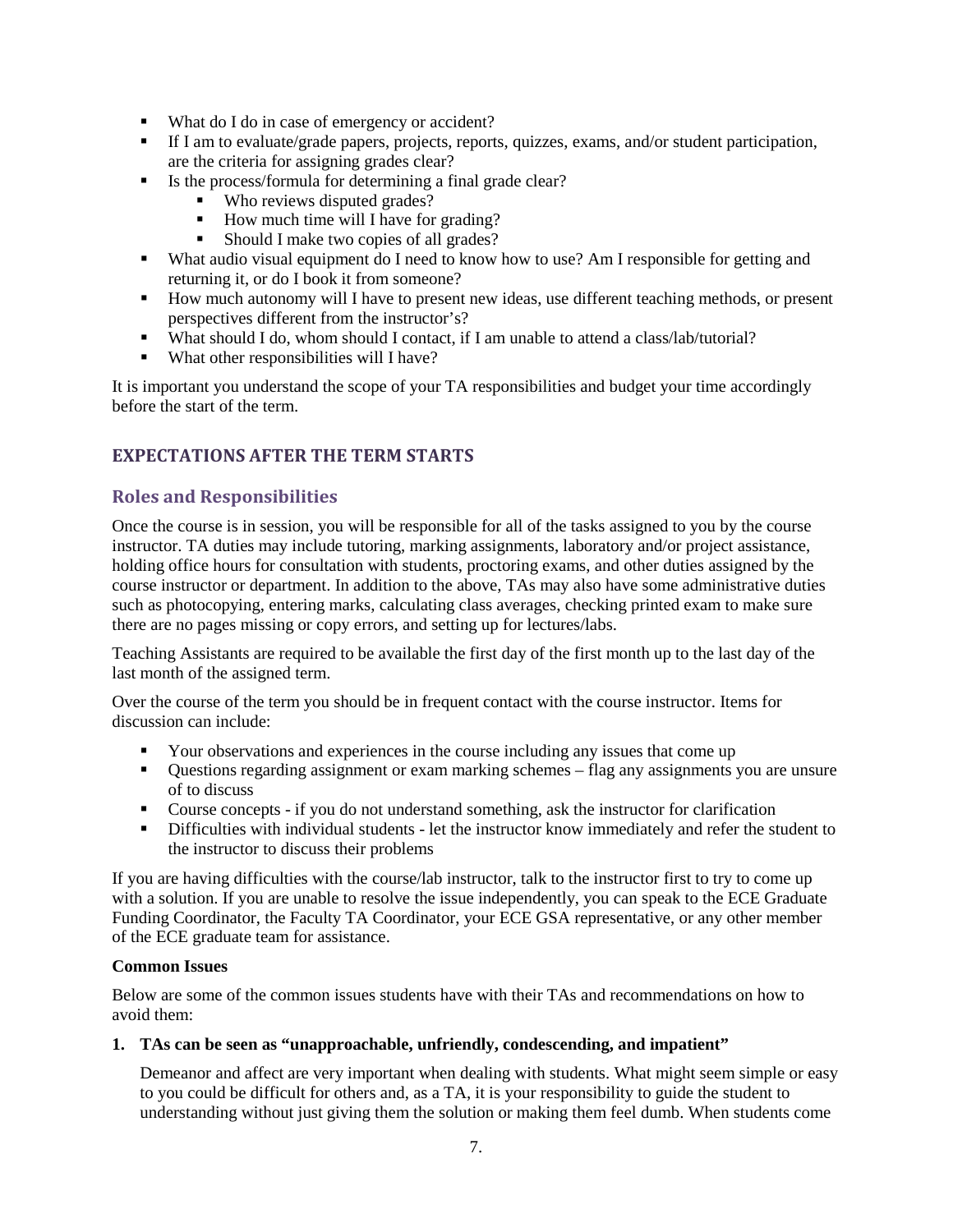- What do I do in case of emergency or accident?
- If I am to evaluate/grade papers, projects, reports, quizzes, exams, and/or student participation, are the criteria for assigning grades clear?
- Is the process/formula for determining a final grade clear?
	- Who reviews disputed grades?
	- How much time will I have for grading?<br>■ Should I make two copies of all grades?
	- Should I make two copies of all grades?
- What audio visual equipment do I need to know how to use? Am I responsible for getting and returning it, or do I book it from someone?
- How much autonomy will I have to present new ideas, use different teaching methods, or present perspectives different from the instructor's?
- What should I do, whom should I contact, if I am unable to attend a class/lab/tutorial?
- What other responsibilities will I have?

It is important you understand the scope of your TA responsibilities and budget your time accordingly before the start of the term.

# <span id="page-9-0"></span>**EXPECTATIONS AFTER THE TERM STARTS**

#### <span id="page-9-1"></span>**Roles and Responsibilities**

Once the course is in session, you will be responsible for all of the tasks assigned to you by the course instructor. TA duties may include tutoring, marking assignments, laboratory and/or project assistance, holding office hours for consultation with students, proctoring exams, and other duties assigned by the course instructor or department. In addition to the above, TAs may also have some administrative duties such as photocopying, entering marks, calculating class averages, checking printed exam to make sure there are no pages missing or copy errors, and setting up for lectures/labs.

Teaching Assistants are required to be available the first day of the first month up to the last day of the last month of the assigned term.

Over the course of the term you should be in frequent contact with the course instructor. Items for discussion can include:

- Your observations and experiences in the course including any issues that come up
- Questions regarding assignment or exam marking schemes flag any assignments you are unsure of to discuss
- Course concepts if you do not understand something, ask the instructor for clarification
- Difficulties with individual students let the instructor know immediately and refer the student to the instructor to discuss their problems

If you are having difficulties with the course/lab instructor, talk to the instructor first to try to come up with a solution. If you are unable to resolve the issue independently, you can speak to the ECE Graduate Funding Coordinator, the Faculty TA Coordinator, your ECE GSA representative, or any other member of the ECE graduate team for assistance.

#### <span id="page-9-2"></span>**Common Issues**

Below are some of the common issues students have with their TAs and recommendations on how to avoid them:

#### **1. TAs can be seen as "unapproachable, unfriendly, condescending, and impatient"**

Demeanor and affect are very important when dealing with students. What might seem simple or easy to you could be difficult for others and, as a TA, it is your responsibility to guide the student to understanding without just giving them the solution or making them feel dumb. When students come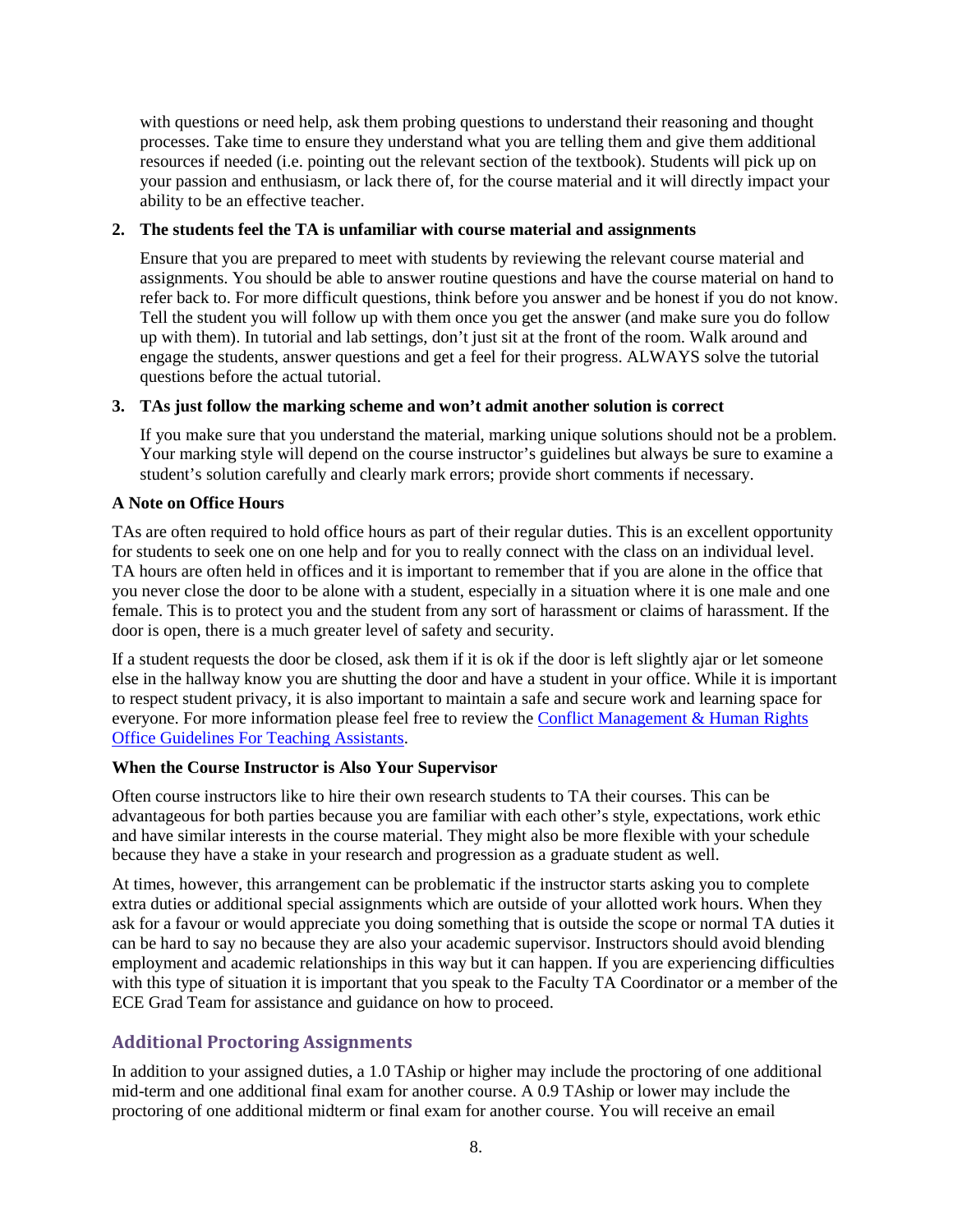with questions or need help, ask them probing questions to understand their reasoning and thought processes. Take time to ensure they understand what you are telling them and give them additional resources if needed (i.e. pointing out the relevant section of the textbook). Students will pick up on your passion and enthusiasm, or lack there of, for the course material and it will directly impact your ability to be an effective teacher.

#### **2. The students feel the TA is unfamiliar with course material and assignments**

Ensure that you are prepared to meet with students by reviewing the relevant course material and assignments. You should be able to answer routine questions and have the course material on hand to refer back to. For more difficult questions, think before you answer and be honest if you do not know. Tell the student you will follow up with them once you get the answer (and make sure you do follow up with them). In tutorial and lab settings, don't just sit at the front of the room. Walk around and engage the students, answer questions and get a feel for their progress. ALWAYS solve the tutorial questions before the actual tutorial.

#### **3. TAs just follow the marking scheme and won't admit another solution is correct**

If you make sure that you understand the material, marking unique solutions should not be a problem. Your marking style will depend on the course instructor's guidelines but always be sure to examine a student's solution carefully and clearly mark errors; provide short comments if necessary.

#### <span id="page-10-0"></span>**A Note on Office Hours**

TAs are often required to hold office hours as part of their regular duties. This is an excellent opportunity for students to seek one on one help and for you to really connect with the class on an individual level. TA hours are often held in offices and it is important to remember that if you are alone in the office that you never close the door to be alone with a student, especially in a situation where it is one male and one female. This is to protect you and the student from any sort of harassment or claims of harassment. If the door is open, there is a much greater level of safety and security.

If a student requests the door be closed, ask them if it is ok if the door is left slightly ajar or let someone else in the hallway know you are shutting the door and have a student in your office. While it is important to respect student privacy, it is also important to maintain a safe and secure work and learning space for everyone. For more information please feel free to review the [Conflict Management & Human Rights](https://uwaterloo.ca/conflict-management-human-rights/guidelines-teaching-assistants)  [Office Guidelines For Teaching Assistants.](https://uwaterloo.ca/conflict-management-human-rights/guidelines-teaching-assistants)

#### <span id="page-10-1"></span>**When the Course Instructor is Also Your Supervisor**

Often course instructors like to hire their own research students to TA their courses. This can be advantageous for both parties because you are familiar with each other's style, expectations, work ethic and have similar interests in the course material. They might also be more flexible with your schedule because they have a stake in your research and progression as a graduate student as well.

At times, however, this arrangement can be problematic if the instructor starts asking you to complete extra duties or additional special assignments which are outside of your allotted work hours. When they ask for a favour or would appreciate you doing something that is outside the scope or normal TA duties it can be hard to say no because they are also your academic supervisor. Instructors should avoid blending employment and academic relationships in this way but it can happen. If you are experiencing difficulties with this type of situation it is important that you speak to the Faculty TA Coordinator or a member of the ECE Grad Team for assistance and guidance on how to proceed.

# <span id="page-10-2"></span>**Additional Proctoring Assignments**

In addition to your assigned duties, a 1.0 TAship or higher may include the proctoring of one additional mid-term and one additional final exam for another course. A 0.9 TAship or lower may include the proctoring of one additional midterm or final exam for another course. You will receive an email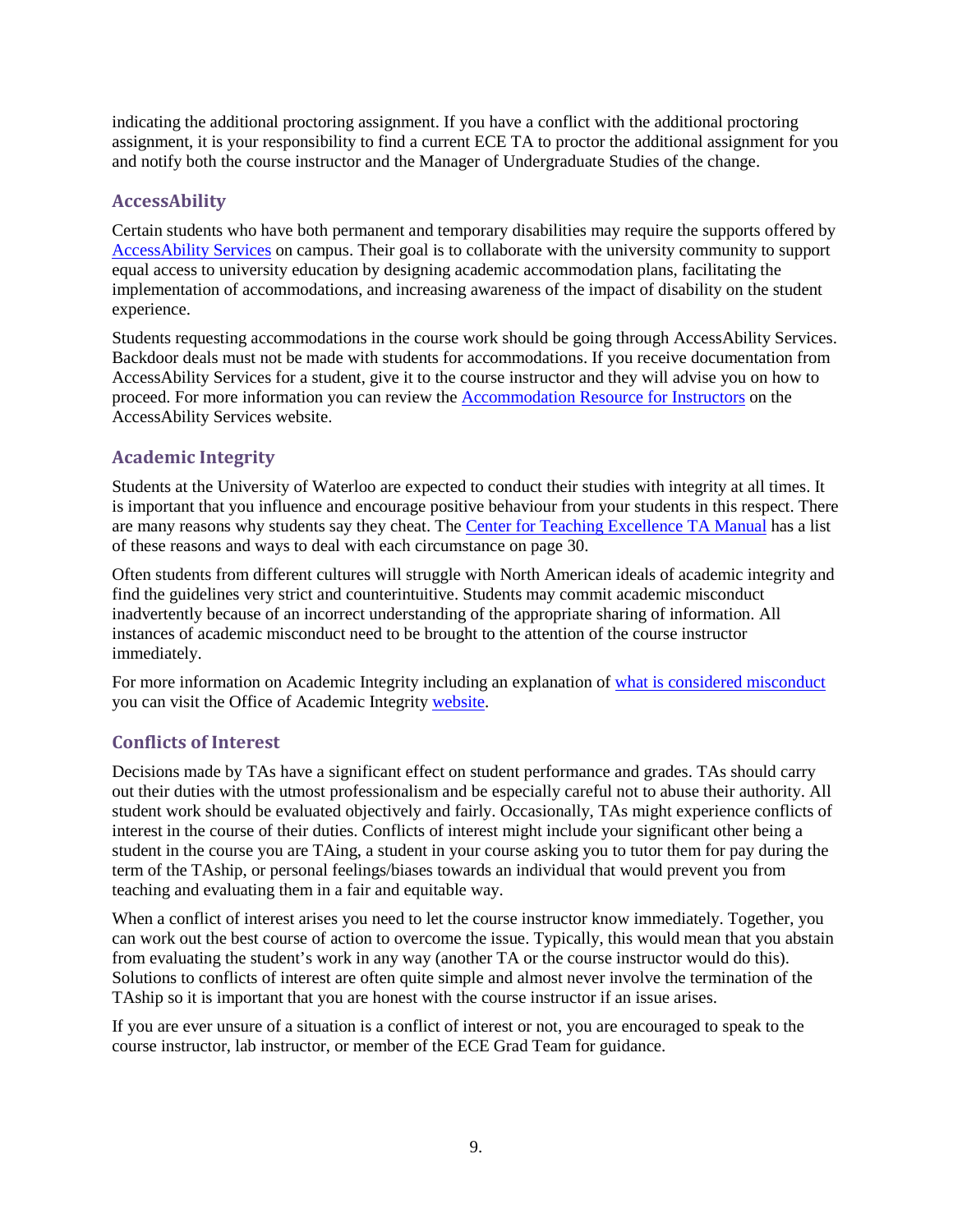indicating the additional proctoring assignment. If you have a conflict with the additional proctoring assignment, it is your responsibility to find a current ECE TA to proctor the additional assignment for you and notify both the course instructor and the Manager of Undergraduate Studies of the change.

### <span id="page-11-0"></span>**AccessAbility**

Certain students who have both permanent and temporary disabilities may require the supports offered by [AccessAbility Services](https://uwaterloo.ca/accessability-services/) on campus. Their goal is to collaborate with the university community to support equal access to university education by designing academic accommodation plans, facilitating the implementation of accommodations, and increasing awareness of the impact of disability on the student experience.

Students requesting accommodations in the course work should be going through AccessAbility Services. Backdoor deals must not be made with students for accommodations. If you receive documentation from AccessAbility Services for a student, give it to the course instructor and they will advise you on how to proceed. For more information you can review the [Accommodation Resource for Instructors](https://uwaterloo.ca/accessability-services/faculty-staff) on the AccessAbility Services website.

# <span id="page-11-1"></span>**Academic Integrity**

Students at the University of Waterloo are expected to conduct their studies with integrity at all times. It is important that you influence and encourage positive behaviour from your students in this respect. There are many reasons why students say they cheat. The [Center for Teaching Excellence TA Manual](https://uwaterloo.ca/centre-for-teaching-excellence/sites/ca.centre-for-teaching-excellence/files/uploads/files/ta_manual_2017_0.pdf) has a list of these reasons and ways to deal with each circumstance on page 30.

Often students from different cultures will struggle with North American ideals of academic integrity and find the guidelines very strict and counterintuitive. Students may commit academic misconduct inadvertently because of an incorrect understanding of the appropriate sharing of information. All instances of academic misconduct need to be brought to the attention of the course instructor immediately.

For more information on Academic Integrity including an explanation of what is considered misconduct you can visit the Office of Academic Integrity [website.](https://uwaterloo.ca/academic-integrity/integrity-students)

#### <span id="page-11-2"></span>**Conflicts of Interest**

Decisions made by TAs have a significant effect on student performance and grades. TAs should carry out their duties with the utmost professionalism and be especially careful not to abuse their authority. All student work should be evaluated objectively and fairly. Occasionally, TAs might experience conflicts of interest in the course of their duties. Conflicts of interest might include your significant other being a student in the course you are TAing, a student in your course asking you to tutor them for pay during the term of the TAship, or personal feelings/biases towards an individual that would prevent you from teaching and evaluating them in a fair and equitable way.

When a conflict of interest arises you need to let the course instructor know immediately. Together, you can work out the best course of action to overcome the issue. Typically, this would mean that you abstain from evaluating the student's work in any way (another TA or the course instructor would do this). Solutions to conflicts of interest are often quite simple and almost never involve the termination of the TAship so it is important that you are honest with the course instructor if an issue arises.

If you are ever unsure of a situation is a conflict of interest or not, you are encouraged to speak to the course instructor, lab instructor, or member of the ECE Grad Team for guidance.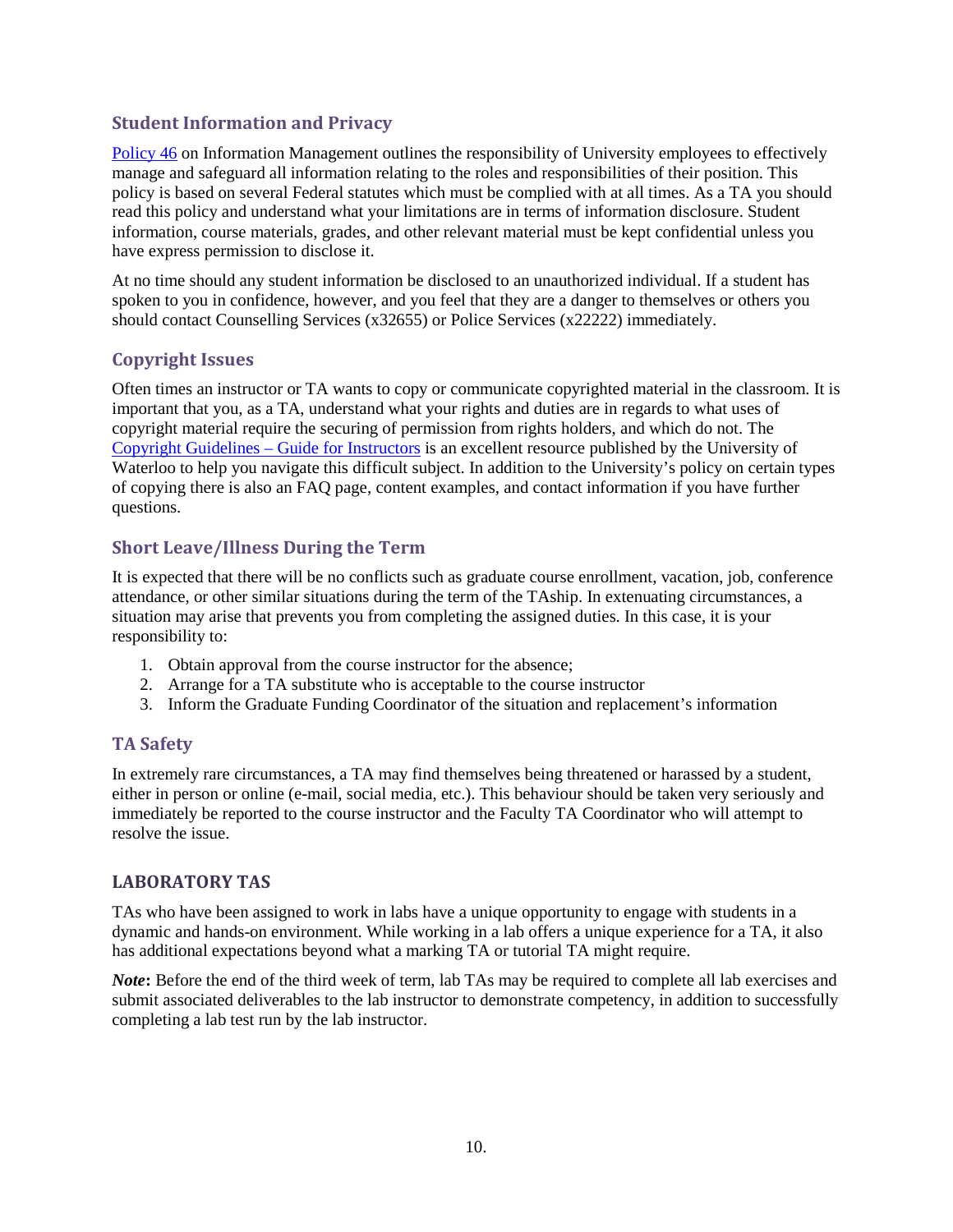#### <span id="page-12-0"></span>**Student Information and Privacy**

[Policy 46](https://uwaterloo.ca/secretariat/policies-procedures-guidelines/policy-46-information-management) on Information Management outlines the responsibility of University employees to effectively manage and safeguard all information relating to the roles and responsibilities of their position. This policy is based on several Federal statutes which must be complied with at all times. As a TA you should read this policy and understand what your limitations are in terms of information disclosure. Student information, course materials, grades, and other relevant material must be kept confidential unless you have express permission to disclose it.

At no time should any student information be disclosed to an unauthorized individual. If a student has spoken to you in confidence, however, and you feel that they are a danger to themselves or others you should contact Counselling Services (x32655) or Police Services (x22222) immediately.

# <span id="page-12-1"></span>**Copyright Issues**

Often times an instructor or TA wants to copy or communicate copyrighted material in the classroom. It is important that you, as a TA, understand what your rights and duties are in regards to what uses of copyright material require the securing of permission from rights holders, and which do not. The [Copyright Guidelines –](https://uwaterloo.ca/copyright-guidelines/guide-instructors) Guide for Instructors is an excellent resource published by the University of Waterloo to help you navigate this difficult subject. In addition to the University's policy on certain types of copying there is also an FAQ page, content examples, and contact information if you have further questions.

#### <span id="page-12-2"></span>**Short Leave/Illness During the Term**

It is expected that there will be no conflicts such as graduate course enrollment, vacation, job, conference attendance, or other similar situations during the term of the TAship. In extenuating circumstances, a situation may arise that prevents you from completing the assigned duties. In this case, it is your responsibility to:

- 1. Obtain approval from the course instructor for the absence;
- 2. Arrange for a TA substitute who is acceptable to the course instructor
- 3. Inform the Graduate Funding Coordinator of the situation and replacement's information

# <span id="page-12-3"></span>**TA Safety**

In extremely rare circumstances, a TA may find themselves being threatened or harassed by a student, either in person or online (e-mail, social media, etc.). This behaviour should be taken very seriously and immediately be reported to the course instructor and the Faculty TA Coordinator who will attempt to resolve the issue.

# <span id="page-12-4"></span>**LABORATORY TAS**

TAs who have been assigned to work in labs have a unique opportunity to engage with students in a dynamic and hands-on environment. While working in a lab offers a unique experience for a TA, it also has additional expectations beyond what a marking TA or tutorial TA might require.

*Note*: Before the end of the third week of term, lab TAs may be required to complete all lab exercises and submit associated deliverables to the lab instructor to demonstrate competency, in addition to successfully completing a lab test run by the lab instructor.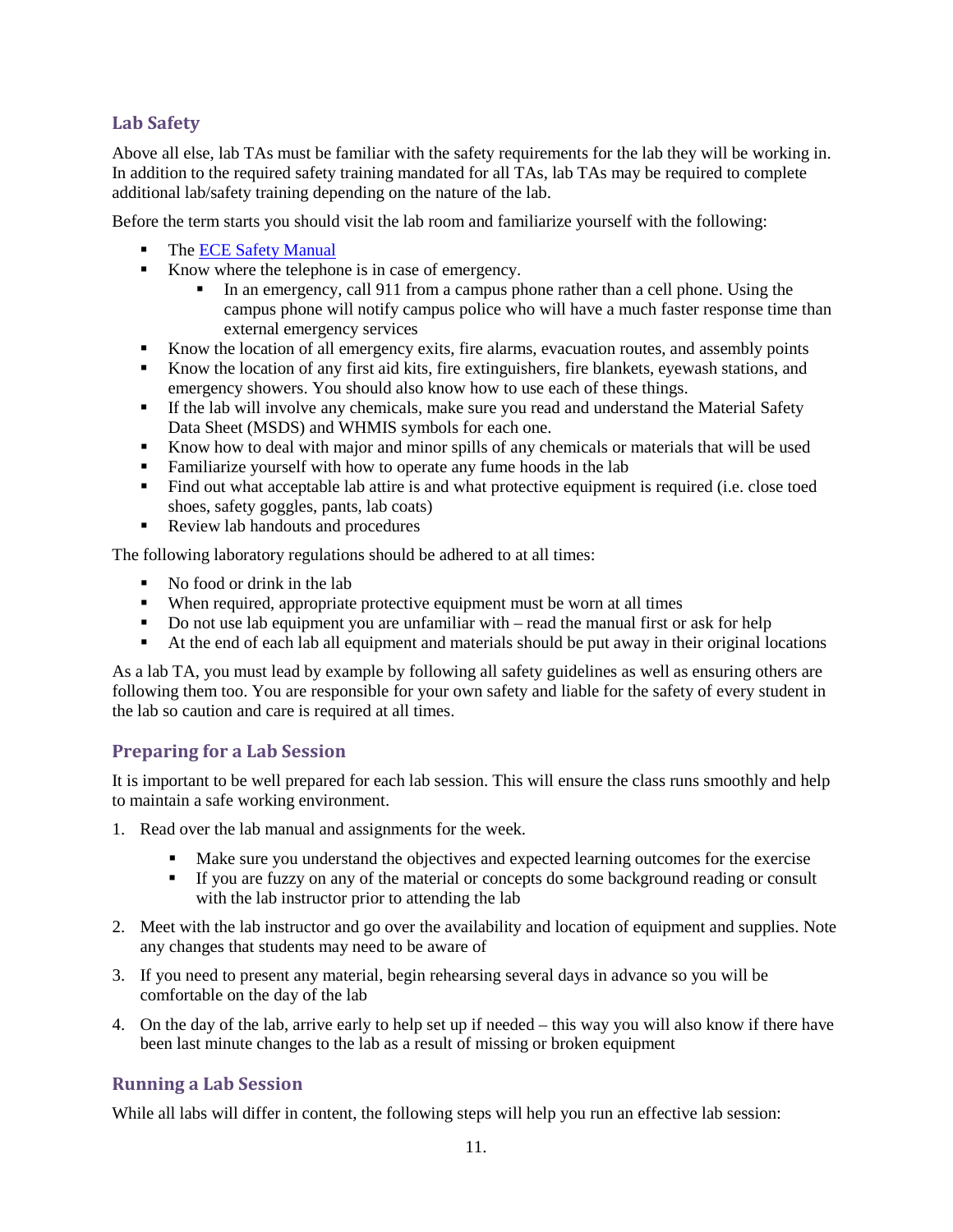### <span id="page-13-0"></span>**Lab Safety**

Above all else, lab TAs must be familiar with the safety requirements for the lab they will be working in. In addition to the required safety training mandated for all TAs, lab TAs may be required to complete additional lab/safety training depending on the nature of the lab.

Before the term starts you should visit the lab room and familiarize yourself with the following:

- The [ECE Safety Manual](https://ece.uwaterloo.ca/electrical-computer-engineering/safety/ECESafetyManual.pdf)
- Know where the telephone is in case of emergency.
	- In an emergency, call 911 from a campus phone rather than a cell phone. Using the campus phone will notify campus police who will have a much faster response time than external emergency services
- Know the location of all emergency exits, fire alarms, evacuation routes, and assembly points
- Know the location of any first aid kits, fire extinguishers, fire blankets, eyewash stations, and emergency showers. You should also know how to use each of these things.
- If the lab will involve any chemicals, make sure you read and understand the Material Safety Data Sheet (MSDS) and WHMIS symbols for each one.
- Know how to deal with major and minor spills of any chemicals or materials that will be used
- Familiarize yourself with how to operate any fume hoods in the lab
- Find out what acceptable lab attire is and what protective equipment is required (i.e. close toed shoes, safety goggles, pants, lab coats)
- Review lab handouts and procedures

The following laboratory regulations should be adhered to at all times:

- No food or drink in the lab
- When required, appropriate protective equipment must be worn at all times
- Do not use lab equipment you are unfamiliar with read the manual first or ask for help
- At the end of each lab all equipment and materials should be put away in their original locations

As a lab TA, you must lead by example by following all safety guidelines as well as ensuring others are following them too. You are responsible for your own safety and liable for the safety of every student in the lab so caution and care is required at all times.

#### <span id="page-13-1"></span>**Preparing for a Lab Session**

It is important to be well prepared for each lab session. This will ensure the class runs smoothly and help to maintain a safe working environment.

- 1. Read over the lab manual and assignments for the week.
	- Make sure you understand the objectives and expected learning outcomes for the exercise
	- If you are fuzzy on any of the material or concepts do some background reading or consult with the lab instructor prior to attending the lab
- 2. Meet with the lab instructor and go over the availability and location of equipment and supplies. Note any changes that students may need to be aware of
- 3. If you need to present any material, begin rehearsing several days in advance so you will be comfortable on the day of the lab
- 4. On the day of the lab, arrive early to help set up if needed this way you will also know if there have been last minute changes to the lab as a result of missing or broken equipment

#### <span id="page-13-2"></span>**Running a Lab Session**

While all labs will differ in content, the following steps will help you run an effective lab session: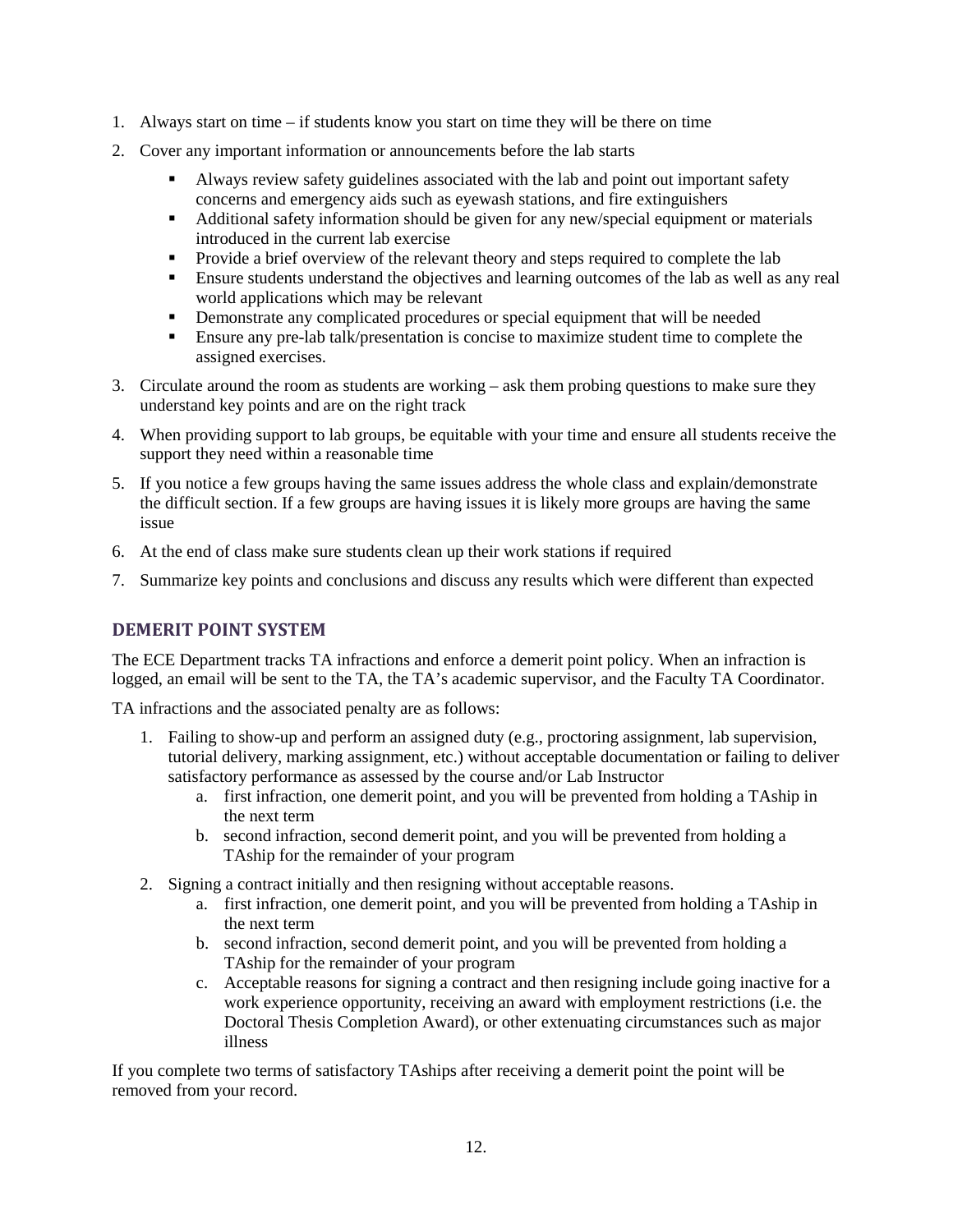- 1. Always start on time if students know you start on time they will be there on time
- 2. Cover any important information or announcements before the lab starts
	- Always review safety guidelines associated with the lab and point out important safety concerns and emergency aids such as eyewash stations, and fire extinguishers
	- Additional safety information should be given for any new/special equipment or materials introduced in the current lab exercise
	- **Provide a brief overview of the relevant theory and steps required to complete the lab**
	- Ensure students understand the objectives and learning outcomes of the lab as well as any real world applications which may be relevant
	- **•** Demonstrate any complicated procedures or special equipment that will be needed
	- Ensure any pre-lab talk/presentation is concise to maximize student time to complete the assigned exercises.
- 3. Circulate around the room as students are working ask them probing questions to make sure they understand key points and are on the right track
- 4. When providing support to lab groups, be equitable with your time and ensure all students receive the support they need within a reasonable time
- 5. If you notice a few groups having the same issues address the whole class and explain/demonstrate the difficult section. If a few groups are having issues it is likely more groups are having the same issue
- 6. At the end of class make sure students clean up their work stations if required
- 7. Summarize key points and conclusions and discuss any results which were different than expected

# <span id="page-14-0"></span>**DEMERIT POINT SYSTEM**

The ECE Department tracks TA infractions and enforce a demerit point policy. When an infraction is logged, an email will be sent to the TA, the TA's academic supervisor, and the Faculty TA Coordinator.

TA infractions and the associated penalty are as follows:

- 1. Failing to show-up and perform an assigned duty (e.g., proctoring assignment, lab supervision, tutorial delivery, marking assignment, etc.) without acceptable documentation or failing to deliver satisfactory performance as assessed by the course and/or Lab Instructor
	- a. first infraction, one demerit point, and you will be prevented from holding a TAship in the next term
	- b. second infraction, second demerit point, and you will be prevented from holding a TAship for the remainder of your program
- 2. Signing a contract initially and then resigning without acceptable reasons.
	- a. first infraction, one demerit point, and you will be prevented from holding a TAship in the next term
	- b. second infraction, second demerit point, and you will be prevented from holding a TAship for the remainder of your program
	- c. Acceptable reasons for signing a contract and then resigning include going inactive for a work experience opportunity, receiving an award with employment restrictions (i.e. the Doctoral Thesis Completion Award), or other extenuating circumstances such as major illness

If you complete two terms of satisfactory TAships after receiving a demerit point the point will be removed from your record.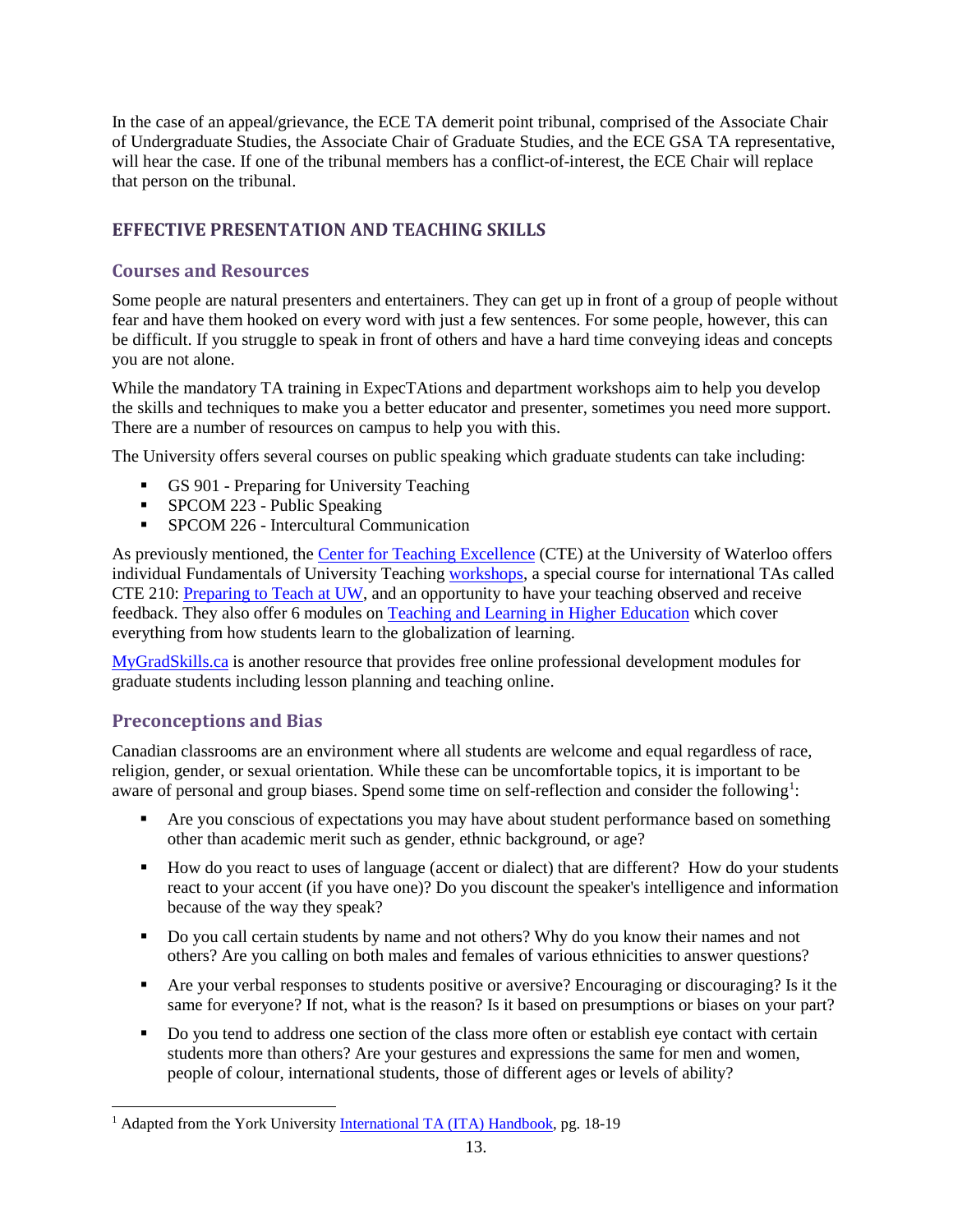In the case of an appeal/grievance, the ECE TA demerit point tribunal, comprised of the Associate Chair of Undergraduate Studies, the Associate Chair of Graduate Studies, and the ECE GSA TA representative, will hear the case. If one of the tribunal members has a conflict-of-interest, the ECE Chair will replace that person on the tribunal.

# <span id="page-15-0"></span>**EFFECTIVE PRESENTATION AND TEACHING SKILLS**

# <span id="page-15-1"></span>**Courses and Resources**

Some people are natural presenters and entertainers. They can get up in front of a group of people without fear and have them hooked on every word with just a few sentences. For some people, however, this can be difficult. If you struggle to speak in front of others and have a hard time conveying ideas and concepts you are not alone.

While the mandatory TA training in ExpecTAtions and department workshops aim to help you develop the skills and techniques to make you a better educator and presenter, sometimes you need more support. There are a number of resources on campus to help you with this.

The University offers several courses on public speaking which graduate students can take including:

- GS 901 Preparing for University Teaching
- **SPCOM 223 Public Speaking**
- **SPCOM 226 Intercultural Communication**

As previously mentioned, the [Center for Teaching Excellence](https://uwaterloo.ca/centre-for-teaching-excellence/support-graduate-students) (CTE) at the University of Waterloo offers individual Fundamentals of University Teaching [workshops,](https://uwaterloo.ca/centre-for-teaching-excellence/events/audience/73) a special course for international TAs called CTE 210: [Preparing to Teach](https://uwaterloo.ca/centre-for-teaching-excellence/events/audience/73) at UW, and an opportunity to have your teaching observed and receive feedback. They also offer 6 modules on [Teaching and Learning in Higher Education](http://www.queensu.ca/teachingandlearning/modules/index.html) which cover everything from how students learn to the globalization of learning.

[MyGradSkills.ca](https://www.mygradskills.ca/) is another resource that provides free online professional development modules for graduate students including lesson planning and teaching online.

# <span id="page-15-2"></span>**Preconceptions and Bias**

Canadian classrooms are an environment where all students are welcome and equal regardless of race, religion, gender, or sexual orientation. While these can be uncomfortable topics, it is important to be aware of personal and group biases. Spend some time on self-reflection and consider the following<sup>[1](#page-15-3)</sup>:

- **Are you conscious of expectations you may have about student performance based on something** other than academic merit such as gender, ethnic background, or age?
- How do you react to uses of language (accent or dialect) that are different? How do your students react to your accent (if you have one)? Do you discount the speaker's intelligence and information because of the way they speak?
- Do you call certain students by name and not others? Why do you know their names and not others? Are you calling on both males and females of various ethnicities to answer questions?
- Are your verbal responses to students positive or aversive? Encouraging or discouraging? Is it the same for everyone? If not, what is the reason? Is it based on presumptions or biases on your part?
- Do you tend to address one section of the class more often or establish eye contact with certain students more than others? Are your gestures and expressions the same for men and women, people of colour, international students, those of different ages or levels of ability?

<span id="page-15-3"></span><sup>&</sup>lt;sup>1</sup> Adapted from the York Universit[y International TA \(ITA\) Handbook,](http://teachingcommons.yorku.ca/wp-content/uploads/2015/01/2015-2016-ITA-Handbook.pdf) pg. 18-19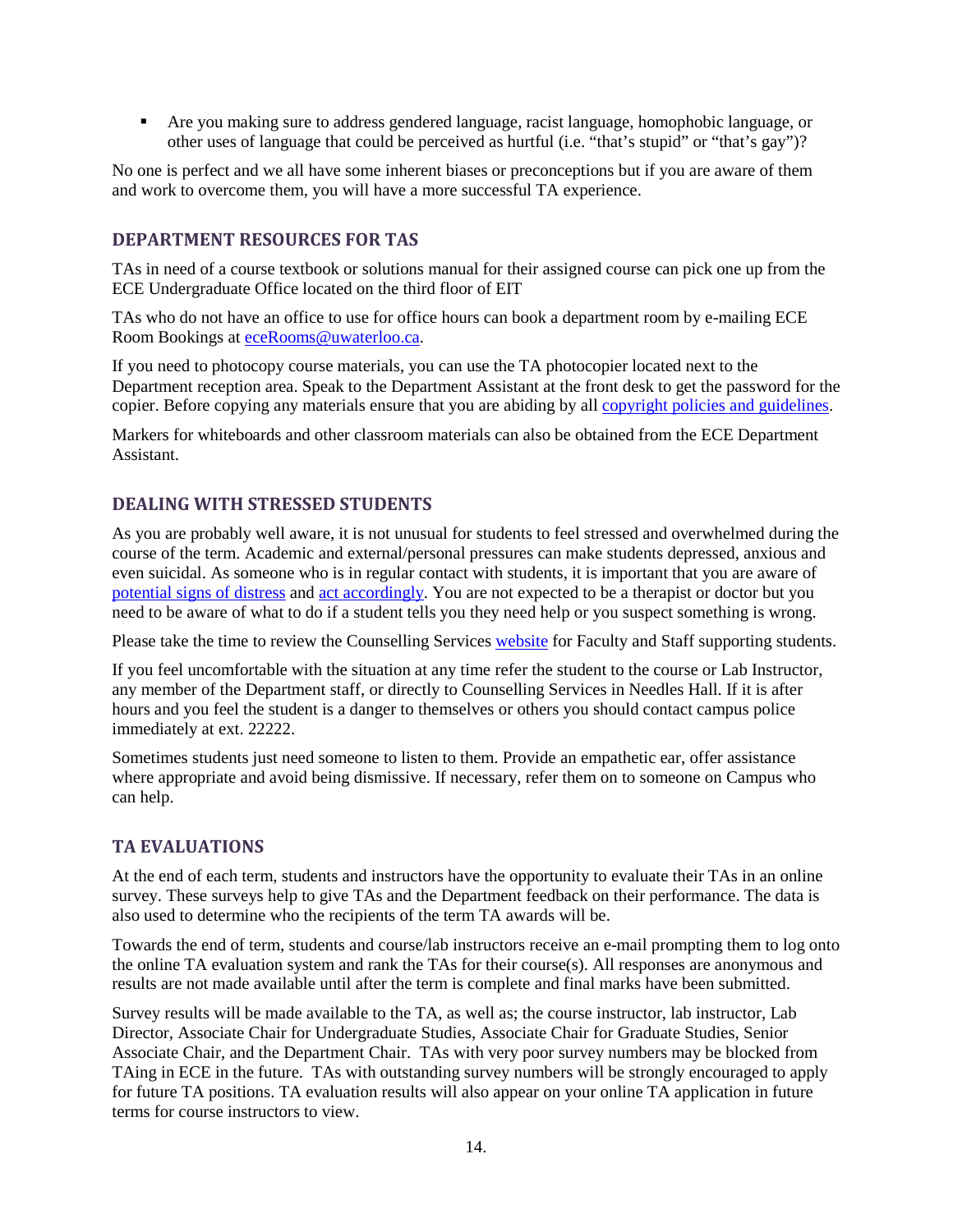Are you making sure to address gendered language, racist language, homophobic language, or other uses of language that could be perceived as hurtful (i.e. "that's stupid" or "that's gay")?

No one is perfect and we all have some inherent biases or preconceptions but if you are aware of them and work to overcome them, you will have a more successful TA experience.

#### <span id="page-16-0"></span>**DEPARTMENT RESOURCES FOR TAS**

TAs in need of a course textbook or solutions manual for their assigned course can pick one up from the ECE Undergraduate Office located on the third floor of EIT

TAs who do not have an office to use for office hours can book a department room by e-mailing ECE Room Bookings at [eceRooms@uwaterloo.ca.](mailto:eceRooms@uwaterloo.ca)

If you need to photocopy course materials, you can use the TA photocopier located next to the Department reception area. Speak to the Department Assistant at the front desk to get the password for the copier. Before copying any materials ensure that you are abiding by all [copyright policies and guidelines.](https://uwaterloo.ca/copyright-guidelines/)

Markers for whiteboards and other classroom materials can also be obtained from the ECE Department Assistant.

#### <span id="page-16-1"></span>**DEALING WITH STRESSED STUDENTS**

As you are probably well aware, it is not unusual for students to feel stressed and overwhelmed during the course of the term. Academic and external/personal pressures can make students depressed, anxious and even suicidal. As someone who is in regular contact with students, it is important that you are aware of [potential signs of distress](https://uwaterloo.morefeetontheground.ca/studentdistress/recognize) and [act accordingly.](https://uwaterloo.morefeetontheground.ca/studentdistress/respond) You are not expected to be a therapist or doctor but you need to be aware of what to do if a student tells you they need help or you suspect something is wrong.

Please take the time to review the Counselling Services [website](https://uwaterloo.ca/campus-wellness/counselling-services/faculty-and-staff-supporting-students) for Faculty and Staff supporting students.

If you feel uncomfortable with the situation at any time refer the student to the course or Lab Instructor, any member of the Department staff, or directly to Counselling Services in Needles Hall. If it is after hours and you feel the student is a danger to themselves or others you should contact campus police immediately at ext. 22222.

Sometimes students just need someone to listen to them. Provide an empathetic ear, offer assistance where appropriate and avoid being dismissive. If necessary, refer them on to someone on Campus who can help.

#### <span id="page-16-2"></span>**TA EVALUATIONS**

At the end of each term, students and instructors have the opportunity to evaluate their TAs in an online survey. These surveys help to give TAs and the Department feedback on their performance. The data is also used to determine who the recipients of the term TA awards will be.

Towards the end of term, students and course/lab instructors receive an e-mail prompting them to log onto the online TA evaluation system and rank the TAs for their course(s). All responses are anonymous and results are not made available until after the term is complete and final marks have been submitted.

Survey results will be made available to the TA, as well as; the course instructor, lab instructor, Lab Director, Associate Chair for Undergraduate Studies, Associate Chair for Graduate Studies, Senior Associate Chair, and the Department Chair. TAs with very poor survey numbers may be blocked from TAing in ECE in the future. TAs with outstanding survey numbers will be strongly encouraged to apply for future TA positions. TA evaluation results will also appear on your online TA application in future terms for course instructors to view.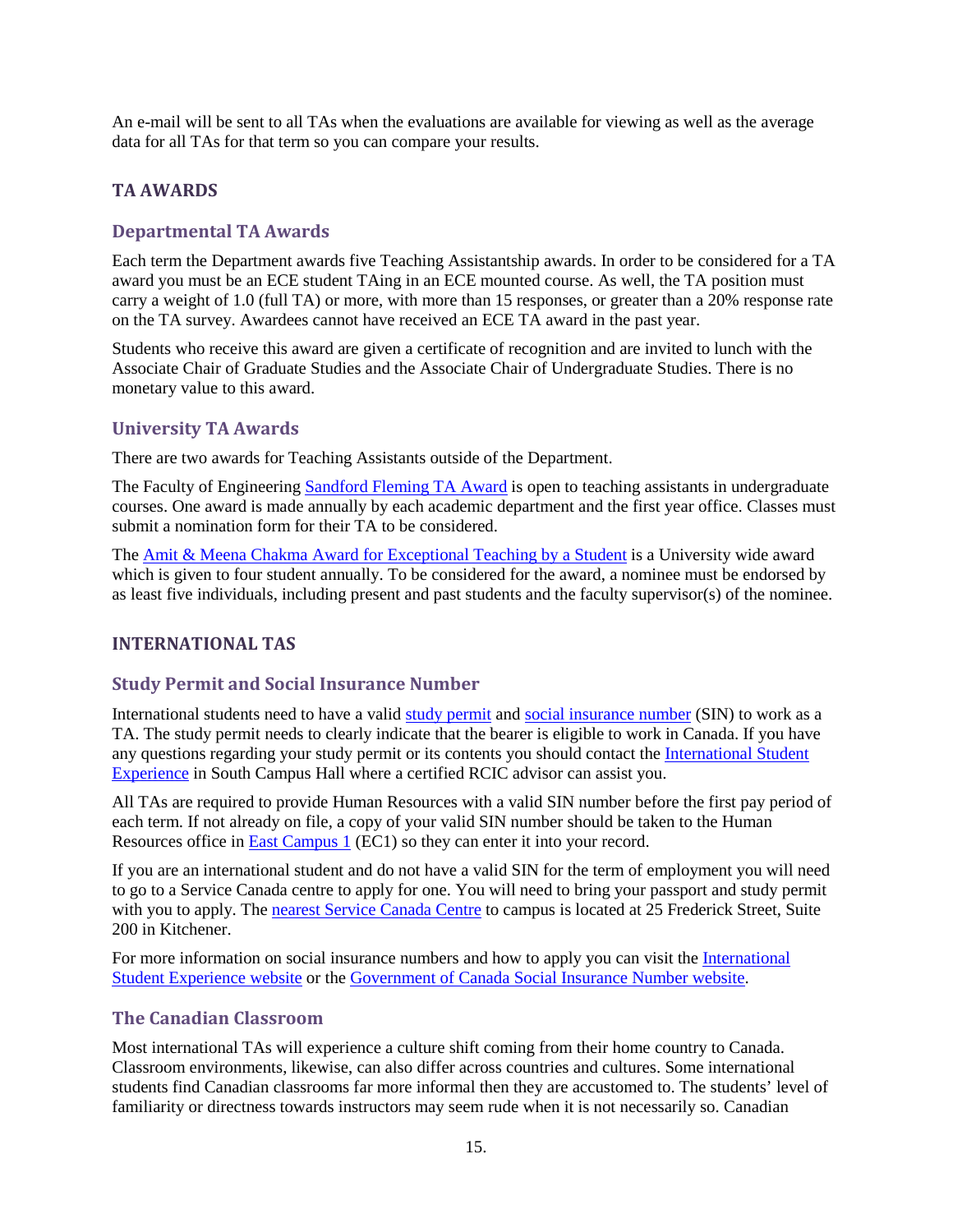An e-mail will be sent to all TAs when the evaluations are available for viewing as well as the average data for all TAs for that term so you can compare your results.

# <span id="page-17-0"></span>**TA AWARDS**

#### <span id="page-17-1"></span>**Departmental TA Awards**

Each term the Department awards five Teaching Assistantship awards. In order to be considered for a TA award you must be an ECE student TAing in an ECE mounted course. As well, the TA position must carry a weight of 1.0 (full TA) or more, with more than 15 responses, or greater than a 20% response rate on the TA survey. Awardees cannot have received an ECE TA award in the past year.

Students who receive this award are given a certificate of recognition and are invited to lunch with the Associate Chair of Graduate Studies and the Associate Chair of Undergraduate Studies. There is no monetary value to this award.

# <span id="page-17-2"></span>**University TA Awards**

There are two awards for Teaching Assistants outside of the Department.

The Faculty of Engineering [Sandford Fleming TA Award](https://uwaterloo.ca/sandford-fleming-foundation/teaching-awards) is open to teaching assistants in undergraduate courses. One award is made annually by each academic department and the first year office. Classes must submit a nomination form for their TA to be considered.

The **Amit & Meena Chakma Award for Exceptional Teaching by a Student** is a University wide award which is given to four student annually. To be considered for the award, a nominee must be endorsed by as least five individuals, including present and past students and the faculty supervisor(s) of the nominee.

#### <span id="page-17-3"></span>**INTERNATIONAL TAS**

#### <span id="page-17-4"></span>**Study Permit and Social Insurance Number**

International students need to have a valid [study permit](https://uwaterloo.ca/international-students/study-permit) and [social insurance number](https://uwaterloo.ca/international-students/social-insurance-number) (SIN) to work as a TA. The study permit needs to clearly indicate that the bearer is eligible to work in Canada. If you have any questions regarding your study permit or its contents you should contact the [International Student](https://uwaterloo.ca/international-students/)  [Experience](https://uwaterloo.ca/international-students/) in South Campus Hall where a certified RCIC advisor can assist you.

All TAs are required to provide Human Resources with a valid SIN number before the first pay period of each term. If not already on file, a copy of your valid SIN number should be taken to the Human Resources office i[n East Campus 1](https://uwaterloo.ca/map/EC1?basemap=D#map=16/43.4762/-80.5403) (EC1) so they can enter it into your record.

If you are an international student and do not have a valid SIN for the term of employment you will need to go to a Service Canada centre to apply for one. You will need to bring your passport and study permit with you to apply. Th[e nearest Service Canada Centre](http://www.servicecanada.gc.ca/tbsc-fsco/sc-dsp.jsp?rc=3580&lang=eng) to campus is located at 25 Frederick Street, Suite 200 in Kitchener.

For more information on social insurance numbers and how to apply you can visit the [International](https://uwaterloo.ca/international-students/social-insurance-number)  [Student Experience website](https://uwaterloo.ca/international-students/social-insurance-number) or the [Government of Canada Social Insurance Number website.](https://www.canada.ca/en/employment-social-development/services/sin/before-applying.html)

# <span id="page-17-5"></span>**The Canadian Classroom**

Most international TAs will experience a culture shift coming from their home country to Canada. Classroom environments, likewise, can also differ across countries and cultures. Some international students find Canadian classrooms far more informal then they are accustomed to. The students' level of familiarity or directness towards instructors may seem rude when it is not necessarily so. Canadian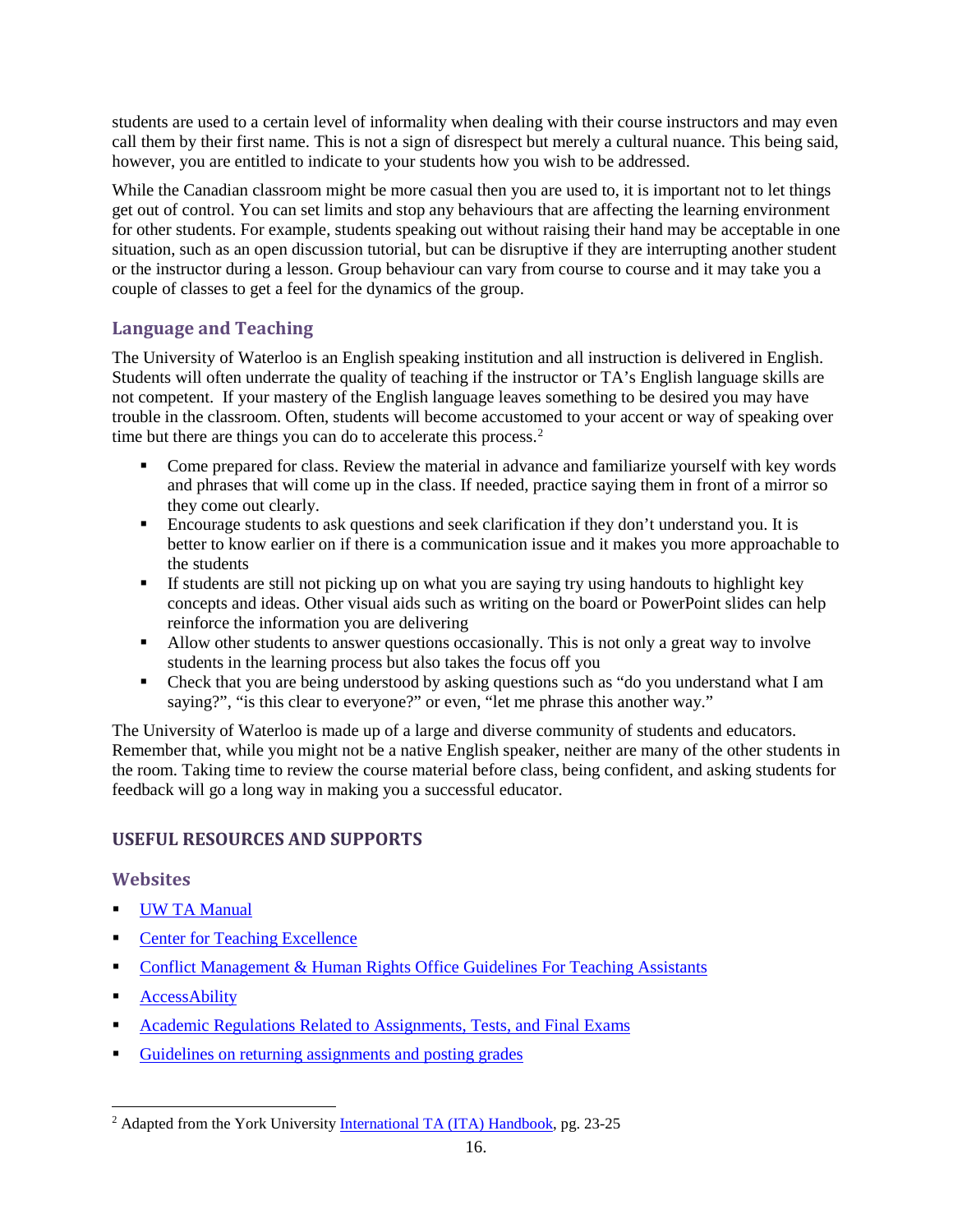students are used to a certain level of informality when dealing with their course instructors and may even call them by their first name. This is not a sign of disrespect but merely a cultural nuance. This being said, however, you are entitled to indicate to your students how you wish to be addressed.

While the Canadian classroom might be more casual then you are used to, it is important not to let things get out of control. You can set limits and stop any behaviours that are affecting the learning environment for other students. For example, students speaking out without raising their hand may be acceptable in one situation, such as an open discussion tutorial, but can be disruptive if they are interrupting another student or the instructor during a lesson. Group behaviour can vary from course to course and it may take you a couple of classes to get a feel for the dynamics of the group.

# <span id="page-18-0"></span>**Language and Teaching**

The University of Waterloo is an English speaking institution and all instruction is delivered in English. Students will often underrate the quality of teaching if the instructor or TA's English language skills are not competent. If your mastery of the English language leaves something to be desired you may have trouble in the classroom. Often, students will become accustomed to your accent or way of speaking over time but there are things you can do to accelerate this process.<sup>[2](#page-18-3)</sup>

- Come prepared for class. Review the material in advance and familiarize yourself with key words and phrases that will come up in the class. If needed, practice saying them in front of a mirror so they come out clearly.
- Encourage students to ask questions and seek clarification if they don't understand you. It is better to know earlier on if there is a communication issue and it makes you more approachable to the students
- If students are still not picking up on what you are saying try using handouts to highlight key concepts and ideas. Other visual aids such as writing on the board or PowerPoint slides can help reinforce the information you are delivering
- Allow other students to answer questions occasionally. This is not only a great way to involve students in the learning process but also takes the focus off you
- Check that you are being understood by asking questions such as "do you understand what I am saying?", "is this clear to everyone?" or even, "let me phrase this another way."

The University of Waterloo is made up of a large and diverse community of students and educators. Remember that, while you might not be a native English speaker, neither are many of the other students in the room. Taking time to review the course material before class, being confident, and asking students for feedback will go a long way in making you a successful educator.

# <span id="page-18-1"></span>**USEFUL RESOURCES AND SUPPORTS**

#### <span id="page-18-2"></span>**Websites**

- [UW TA Manual](https://uwaterloo.ca/centre-for-teaching-excellence/sites/ca.centre-for-teaching-excellence/files/uploads/files/ta_manual_2017_0.pdf)
- [Center for Teaching Excellence](https://uwaterloo.ca/centre-for-teaching-excellence/support-graduate-students)
- **[Conflict Management & Human Rights Office Guidelines For Teaching Assistants](https://uwaterloo.ca/conflict-management-human-rights/guidelines-teaching-assistants)**
- **[AccessAbility](https://uwaterloo.ca/accessability-services/faculty-staff)**
- [Academic Regulations Related to Assignments, Tests, and Final Exams](http://ugradcalendar.uwaterloo.ca/page/Regulations-Overview)
- [Guidelines on returning assignments and posting grades](https://uwaterloo.ca/privacy/about-information-and-privacy/guidelines-frequently-asked-questions/returning-assignments-and-posting-grades)

<span id="page-18-3"></span><sup>&</sup>lt;sup>2</sup> Adapted from the York Universit[y International TA \(ITA\) Handbook,](http://teachingcommons.yorku.ca/wp-content/uploads/2015/01/2015-2016-ITA-Handbook.pdf) pg. 23-25